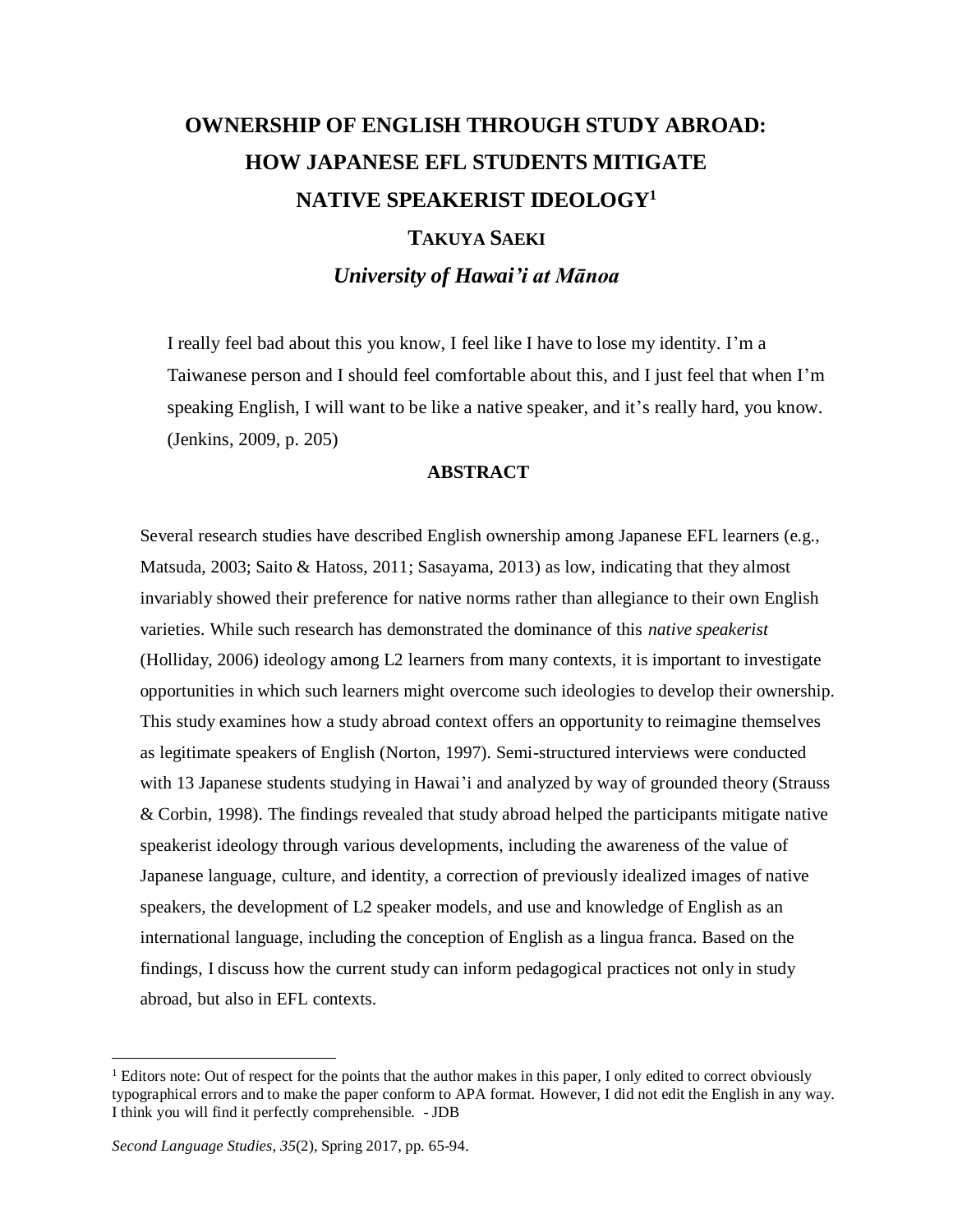# **OWNERSHIP OF ENGLISH THROUGH STUDY ABROAD: HOW JAPANESE EFL STUDENTS MITIGATE NATIVE SPEAKERIST IDEOLOGY<sup>1</sup> TAKUYA SAEKI**

*University of Hawai'i at Mānoa*

I really feel bad about this you know, I feel like I have to lose my identity. I'm a Taiwanese person and I should feel comfortable about this, and I just feel that when I'm speaking English, I will want to be like a native speaker, and it's really hard, you know. (Jenkins, 2009, p. 205)

# **ABSTRACT**

Several research studies have described English ownership among Japanese EFL learners (e.g., Matsuda, 2003; Saito & Hatoss, 2011; Sasayama, 2013) as low, indicating that they almost invariably showed their preference for native norms rather than allegiance to their own English varieties. While such research has demonstrated the dominance of this *native speakerist* (Holliday, 2006) ideology among L2 learners from many contexts, it is important to investigate opportunities in which such learners might overcome such ideologies to develop their ownership. This study examines how a study abroad context offers an opportunity to reimagine themselves as legitimate speakers of English (Norton, 1997). Semi-structured interviews were conducted with 13 Japanese students studying in Hawai'i and analyzed by way of grounded theory (Strauss & Corbin, 1998). The findings revealed that study abroad helped the participants mitigate native speakerist ideology through various developments, including the awareness of the value of Japanese language, culture, and identity, a correction of previously idealized images of native speakers, the development of L2 speaker models, and use and knowledge of English as an international language, including the conception of English as a lingua franca. Based on the findings, I discuss how the current study can inform pedagogical practices not only in study abroad, but also in EFL contexts.

l

<sup>&</sup>lt;sup>1</sup> Editors note: Out of respect for the points that the author makes in this paper, I only edited to correct obviously typographical errors and to make the paper conform to APA format. However, I did not edit the English in any way. I think you will find it perfectly comprehensible. - JDB

*Second Language Studies, 35*(2), Spring 2017, pp. 65-94.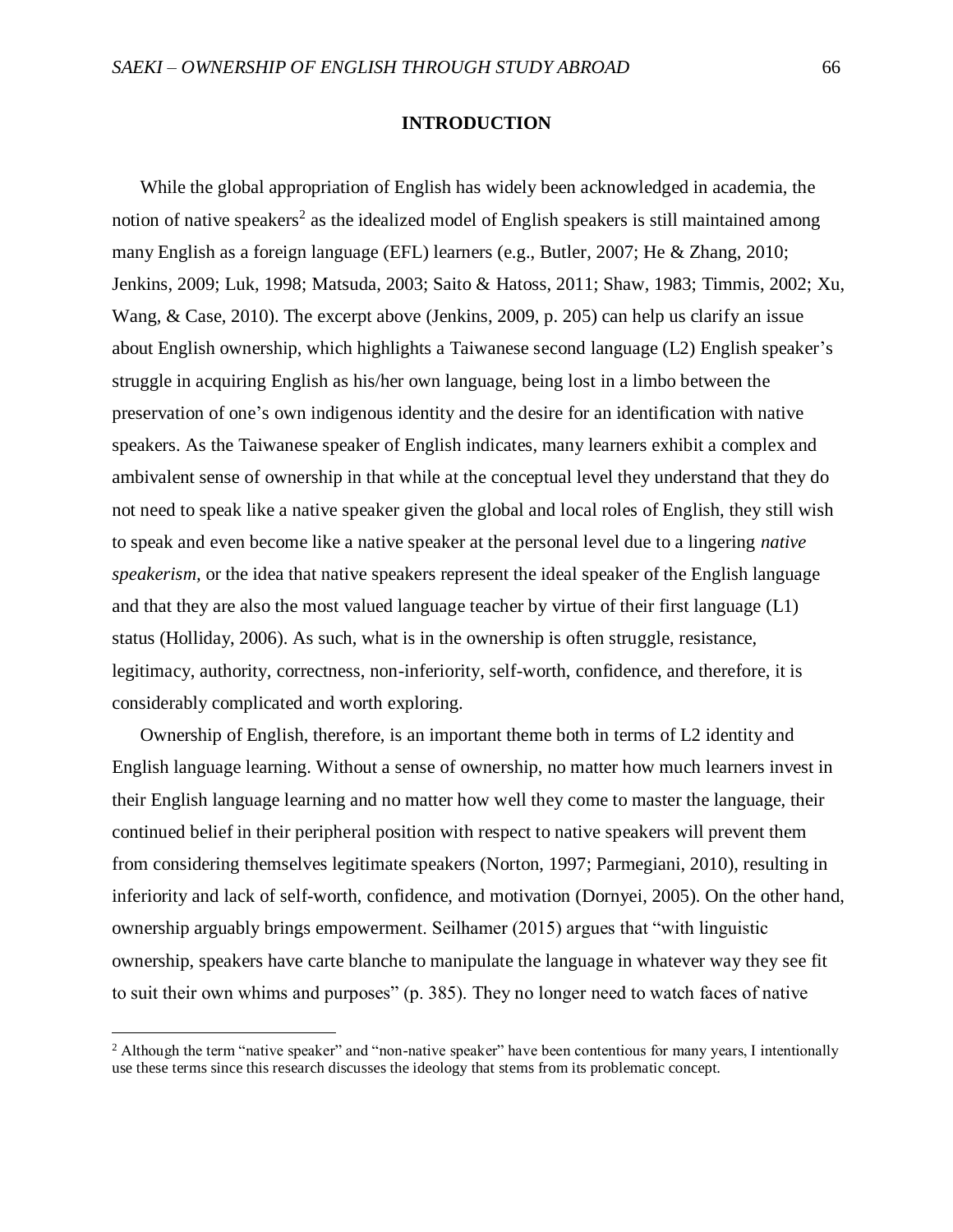# **INTRODUCTION**

While the global appropriation of English has widely been acknowledged in academia, the notion of native speakers<sup>2</sup> as the idealized model of English speakers is still maintained among many English as a foreign language (EFL) learners (e.g., Butler, 2007; He & Zhang, 2010; Jenkins, 2009; Luk, 1998; Matsuda, 2003; Saito & Hatoss, 2011; Shaw, 1983; Timmis, 2002; Xu, Wang, & Case, 2010). The excerpt above (Jenkins, 2009, p. 205) can help us clarify an issue about English ownership, which highlights a Taiwanese second language (L2) English speaker's struggle in acquiring English as his/her own language, being lost in a limbo between the preservation of one's own indigenous identity and the desire for an identification with native speakers. As the Taiwanese speaker of English indicates, many learners exhibit a complex and ambivalent sense of ownership in that while at the conceptual level they understand that they do not need to speak like a native speaker given the global and local roles of English, they still wish to speak and even become like a native speaker at the personal level due to a lingering *native speakerism,* or the idea that native speakers represent the ideal speaker of the English language and that they are also the most valued language teacher by virtue of their first language (L1) status (Holliday, 2006). As such, what is in the ownership is often struggle, resistance, legitimacy, authority, correctness, non-inferiority, self-worth, confidence, and therefore, it is considerably complicated and worth exploring.

Ownership of English, therefore, is an important theme both in terms of L2 identity and English language learning. Without a sense of ownership, no matter how much learners invest in their English language learning and no matter how well they come to master the language, their continued belief in their peripheral position with respect to native speakers will prevent them from considering themselves legitimate speakers (Norton, 1997; Parmegiani, 2010), resulting in inferiority and lack of self-worth, confidence, and motivation (Dornyei, 2005). On the other hand, ownership arguably brings empowerment. Seilhamer (2015) argues that "with linguistic ownership, speakers have carte blanche to manipulate the language in whatever way they see fit to suit their own whims and purposes" (p. 385). They no longer need to watch faces of native

l

<sup>&</sup>lt;sup>2</sup> Although the term "native speaker" and "non-native speaker" have been contentious for many years, I intentionally use these terms since this research discusses the ideology that stems from its problematic concept.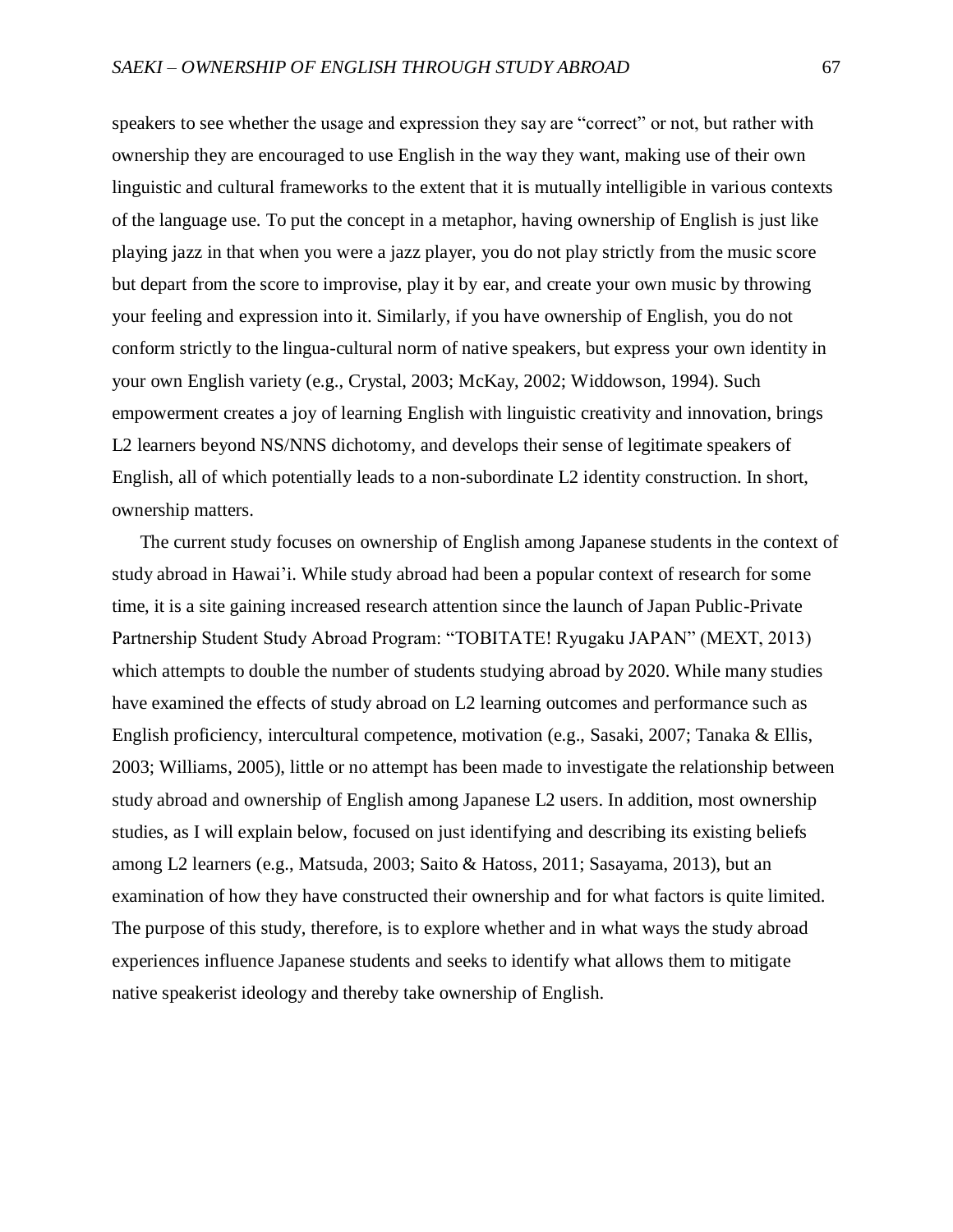speakers to see whether the usage and expression they say are "correct" or not, but rather with ownership they are encouraged to use English in the way they want, making use of their own linguistic and cultural frameworks to the extent that it is mutually intelligible in various contexts of the language use. To put the concept in a metaphor, having ownership of English is just like playing jazz in that when you were a jazz player, you do not play strictly from the music score but depart from the score to improvise, play it by ear, and create your own music by throwing your feeling and expression into it. Similarly, if you have ownership of English, you do not conform strictly to the lingua-cultural norm of native speakers, but express your own identity in your own English variety (e.g., Crystal, 2003; McKay, 2002; Widdowson, 1994). Such empowerment creates a joy of learning English with linguistic creativity and innovation, brings L2 learners beyond NS/NNS dichotomy, and develops their sense of legitimate speakers of English, all of which potentially leads to a non-subordinate L2 identity construction. In short, ownership matters.

The current study focuses on ownership of English among Japanese students in the context of study abroad in Hawai'i. While study abroad had been a popular context of research for some time, it is a site gaining increased research attention since the launch of Japan Public-Private Partnership Student Study Abroad Program: "TOBITATE! Ryugaku JAPAN" (MEXT, 2013) which attempts to double the number of students studying abroad by 2020. While many studies have examined the effects of study abroad on L2 learning outcomes and performance such as English proficiency, intercultural competence, motivation (e.g., Sasaki, 2007; Tanaka & Ellis, 2003; Williams, 2005), little or no attempt has been made to investigate the relationship between study abroad and ownership of English among Japanese L2 users. In addition, most ownership studies, as I will explain below, focused on just identifying and describing its existing beliefs among L2 learners (e.g., Matsuda, 2003; Saito & Hatoss, 2011; Sasayama, 2013), but an examination of how they have constructed their ownership and for what factors is quite limited. The purpose of this study, therefore, is to explore whether and in what ways the study abroad experiences influence Japanese students and seeks to identify what allows them to mitigate native speakerist ideology and thereby take ownership of English.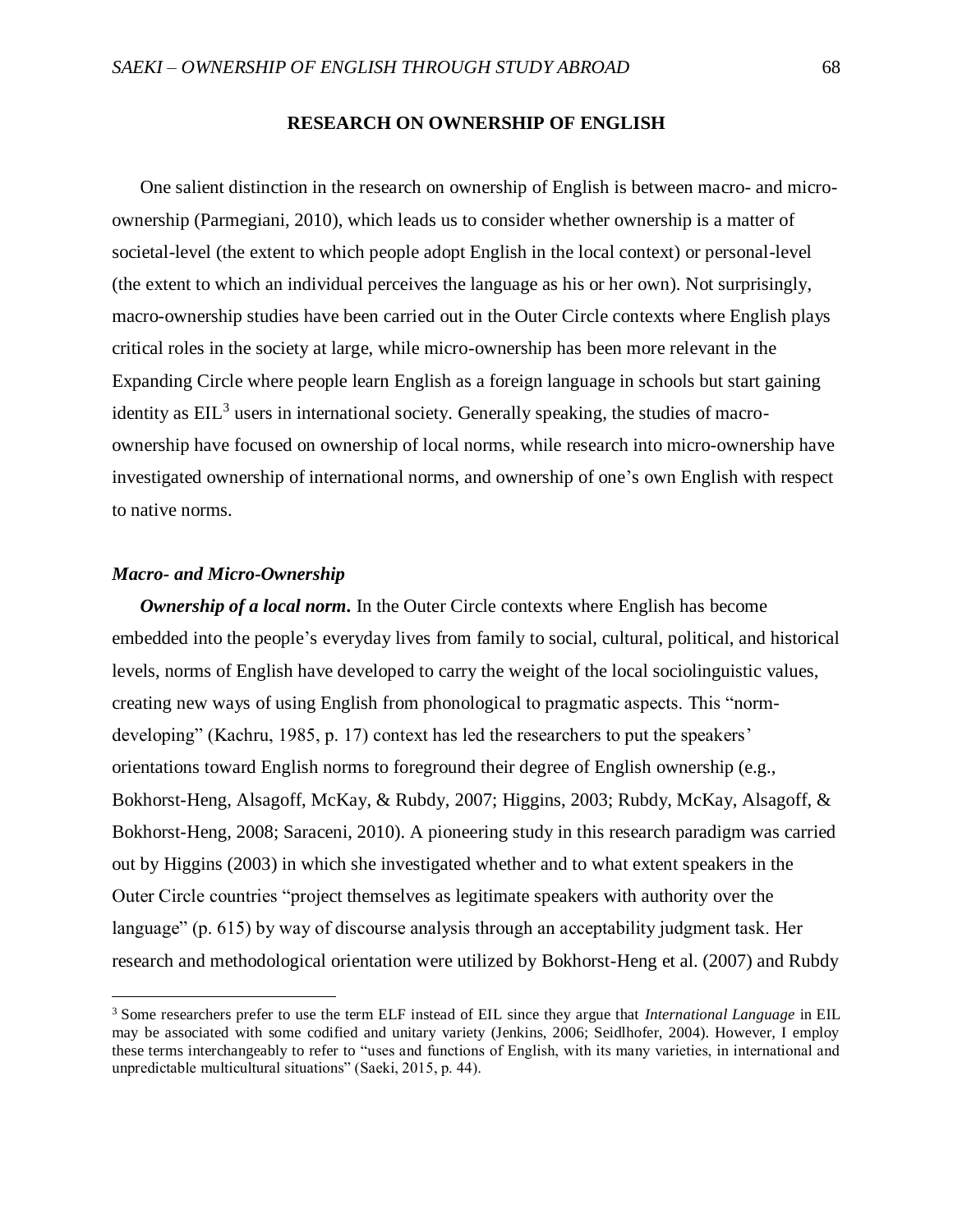## **RESEARCH ON OWNERSHIP OF ENGLISH**

One salient distinction in the research on ownership of English is between macro- and microownership (Parmegiani, 2010), which leads us to consider whether ownership is a matter of societal-level (the extent to which people adopt English in the local context) or personal-level (the extent to which an individual perceives the language as his or her own). Not surprisingly, macro-ownership studies have been carried out in the Outer Circle contexts where English plays critical roles in the society at large, while micro-ownership has been more relevant in the Expanding Circle where people learn English as a foreign language in schools but start gaining identity as  $EIL<sup>3</sup>$  users in international society. Generally speaking, the studies of macroownership have focused on ownership of local norms, while research into micro-ownership have investigated ownership of international norms, and ownership of one's own English with respect to native norms.

# *Macro- and Micro-Ownership*

l

*Ownership of a local norm.* In the Outer Circle contexts where English has become embedded into the people's everyday lives from family to social, cultural, political, and historical levels, norms of English have developed to carry the weight of the local sociolinguistic values, creating new ways of using English from phonological to pragmatic aspects. This "normdeveloping" (Kachru, 1985, p. 17) context has led the researchers to put the speakers' orientations toward English norms to foreground their degree of English ownership (e.g., Bokhorst-Heng, Alsagoff, McKay, & Rubdy, 2007; Higgins, 2003; Rubdy, McKay, Alsagoff, & Bokhorst-Heng, 2008; Saraceni, 2010). A pioneering study in this research paradigm was carried out by Higgins (2003) in which she investigated whether and to what extent speakers in the Outer Circle countries "project themselves as legitimate speakers with authority over the language" (p. 615) by way of discourse analysis through an acceptability judgment task. Her research and methodological orientation were utilized by Bokhorst-Heng et al. (2007) and Rubdy

<sup>3</sup> Some researchers prefer to use the term ELF instead of EIL since they argue that *International Language* in EIL may be associated with some codified and unitary variety (Jenkins, 2006; Seidlhofer, 2004). However, I employ these terms interchangeably to refer to "uses and functions of English, with its many varieties, in international and unpredictable multicultural situations" (Saeki, 2015, p. 44).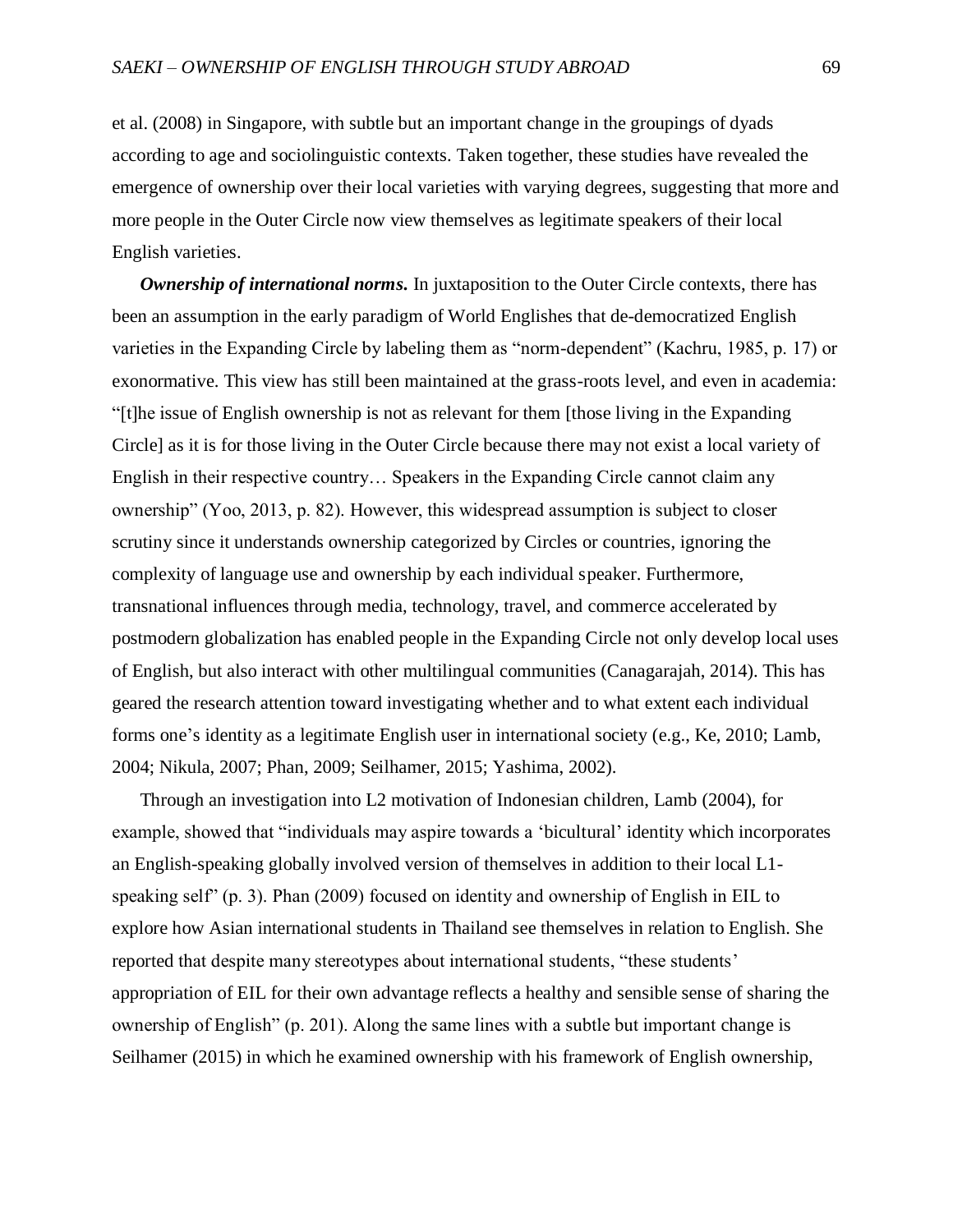et al. (2008) in Singapore, with subtle but an important change in the groupings of dyads according to age and sociolinguistic contexts. Taken together, these studies have revealed the emergence of ownership over their local varieties with varying degrees, suggesting that more and more people in the Outer Circle now view themselves as legitimate speakers of their local English varieties.

*Ownership of international norms.* In juxtaposition to the Outer Circle contexts, there has been an assumption in the early paradigm of World Englishes that de-democratized English varieties in the Expanding Circle by labeling them as "norm-dependent" (Kachru, 1985, p. 17) or exonormative. This view has still been maintained at the grass-roots level, and even in academia: "[t]he issue of English ownership is not as relevant for them [those living in the Expanding Circle] as it is for those living in the Outer Circle because there may not exist a local variety of English in their respective country… Speakers in the Expanding Circle cannot claim any ownership" (Yoo, 2013, p. 82). However, this widespread assumption is subject to closer scrutiny since it understands ownership categorized by Circles or countries, ignoring the complexity of language use and ownership by each individual speaker. Furthermore, transnational influences through media, technology, travel, and commerce accelerated by postmodern globalization has enabled people in the Expanding Circle not only develop local uses of English, but also interact with other multilingual communities (Canagarajah, 2014). This has geared the research attention toward investigating whether and to what extent each individual forms one's identity as a legitimate English user in international society (e.g., Ke, 2010; Lamb, 2004; Nikula, 2007; Phan, 2009; Seilhamer, 2015; Yashima, 2002).

Through an investigation into L2 motivation of Indonesian children, Lamb (2004), for example, showed that "individuals may aspire towards a 'bicultural' identity which incorporates an English-speaking globally involved version of themselves in addition to their local L1 speaking self" (p. 3). Phan (2009) focused on identity and ownership of English in EIL to explore how Asian international students in Thailand see themselves in relation to English. She reported that despite many stereotypes about international students, "these students' appropriation of EIL for their own advantage reflects a healthy and sensible sense of sharing the ownership of English" (p. 201). Along the same lines with a subtle but important change is Seilhamer (2015) in which he examined ownership with his framework of English ownership,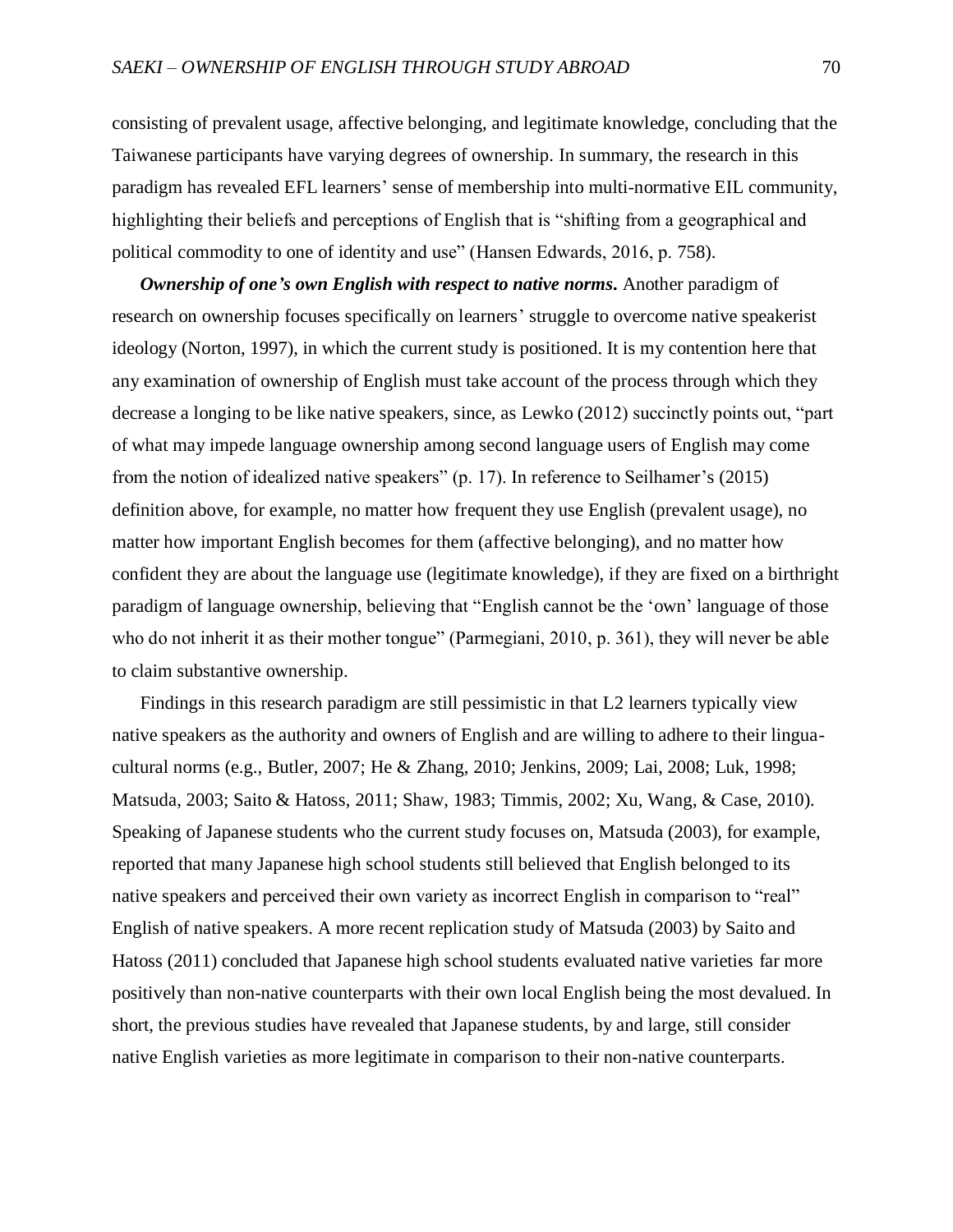consisting of prevalent usage, affective belonging, and legitimate knowledge, concluding that the Taiwanese participants have varying degrees of ownership. In summary, the research in this paradigm has revealed EFL learners' sense of membership into multi-normative EIL community, highlighting their beliefs and perceptions of English that is "shifting from a geographical and political commodity to one of identity and use" (Hansen Edwards, 2016, p. 758).

*Ownership of one's own English with respect to native norms.* Another paradigm of research on ownership focuses specifically on learners' struggle to overcome native speakerist ideology (Norton, 1997), in which the current study is positioned. It is my contention here that any examination of ownership of English must take account of the process through which they decrease a longing to be like native speakers, since, as Lewko (2012) succinctly points out, "part of what may impede language ownership among second language users of English may come from the notion of idealized native speakers" (p. 17). In reference to Seilhamer's (2015) definition above, for example, no matter how frequent they use English (prevalent usage), no matter how important English becomes for them (affective belonging), and no matter how confident they are about the language use (legitimate knowledge), if they are fixed on a birthright paradigm of language ownership, believing that "English cannot be the 'own' language of those who do not inherit it as their mother tongue" (Parmegiani, 2010, p. 361), they will never be able to claim substantive ownership.

Findings in this research paradigm are still pessimistic in that L2 learners typically view native speakers as the authority and owners of English and are willing to adhere to their linguacultural norms (e.g., Butler, 2007; He & Zhang, 2010; Jenkins, 2009; Lai, 2008; Luk, 1998; Matsuda, 2003; Saito & Hatoss, 2011; Shaw, 1983; Timmis, 2002; Xu, Wang, & Case, 2010). Speaking of Japanese students who the current study focuses on, Matsuda (2003), for example, reported that many Japanese high school students still believed that English belonged to its native speakers and perceived their own variety as incorrect English in comparison to "real" English of native speakers. A more recent replication study of Matsuda (2003) by Saito and Hatoss (2011) concluded that Japanese high school students evaluated native varieties far more positively than non-native counterparts with their own local English being the most devalued. In short, the previous studies have revealed that Japanese students, by and large, still consider native English varieties as more legitimate in comparison to their non-native counterparts.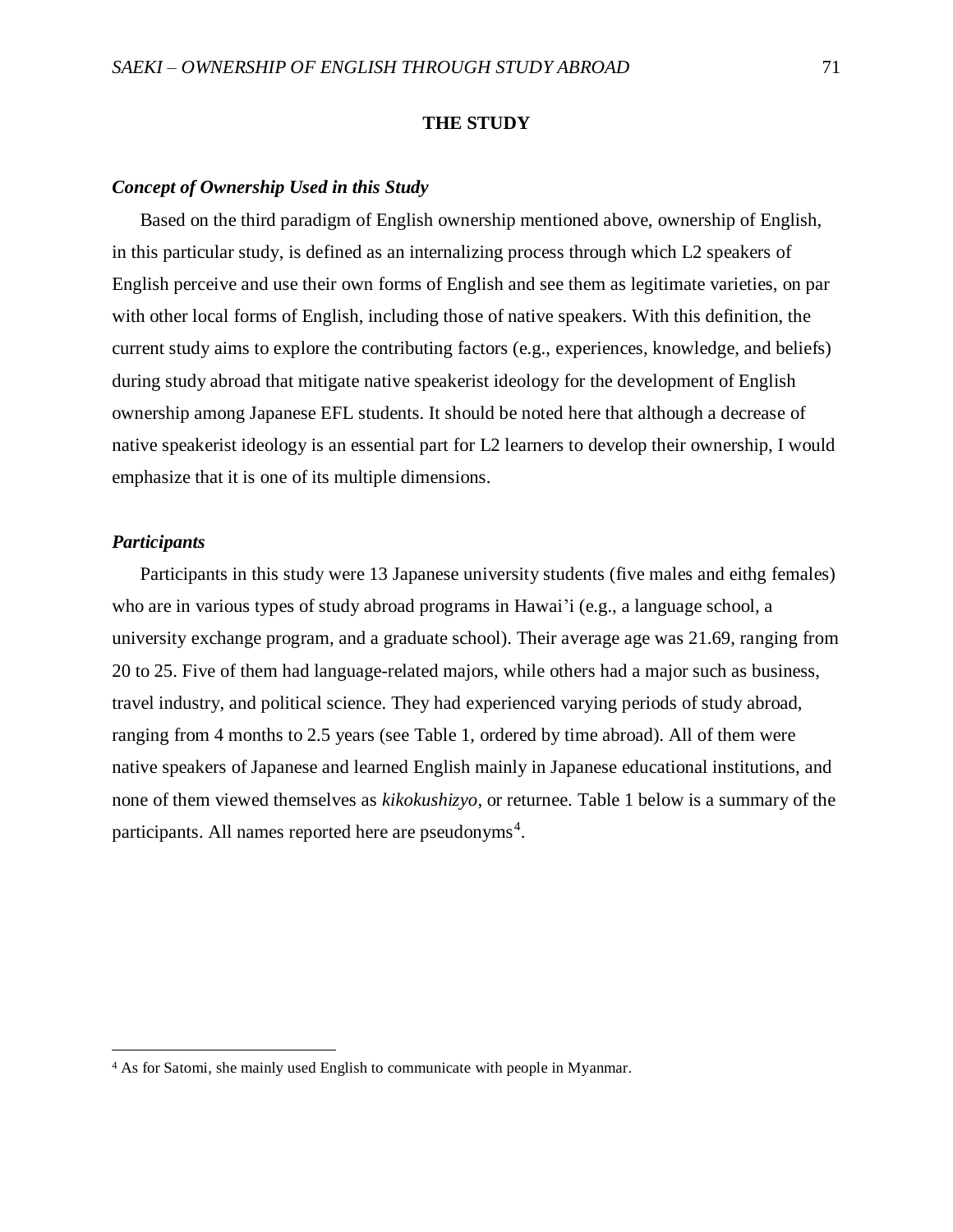## **THE STUDY**

# *Concept of Ownership Used in this Study*

Based on the third paradigm of English ownership mentioned above, ownership of English, in this particular study, is defined as an internalizing process through which L2 speakers of English perceive and use their own forms of English and see them as legitimate varieties, on par with other local forms of English, including those of native speakers. With this definition, the current study aims to explore the contributing factors (e.g., experiences, knowledge, and beliefs) during study abroad that mitigate native speakerist ideology for the development of English ownership among Japanese EFL students. It should be noted here that although a decrease of native speakerist ideology is an essential part for L2 learners to develop their ownership, I would emphasize that it is one of its multiple dimensions.

# *Participants*

l

Participants in this study were 13 Japanese university students (five males and eithg females) who are in various types of study abroad programs in Hawai'i (e.g., a language school, a university exchange program, and a graduate school). Their average age was 21.69, ranging from 20 to 25. Five of them had language-related majors, while others had a major such as business, travel industry, and political science. They had experienced varying periods of study abroad, ranging from 4 months to 2.5 years (see Table 1, ordered by time abroad). All of them were native speakers of Japanese and learned English mainly in Japanese educational institutions, and none of them viewed themselves as *kikokushizyo*, or returnee. Table 1 below is a summary of the participants. All names reported here are pseudonyms<sup>4</sup>.

<sup>4</sup> As for Satomi, she mainly used English to communicate with people in Myanmar.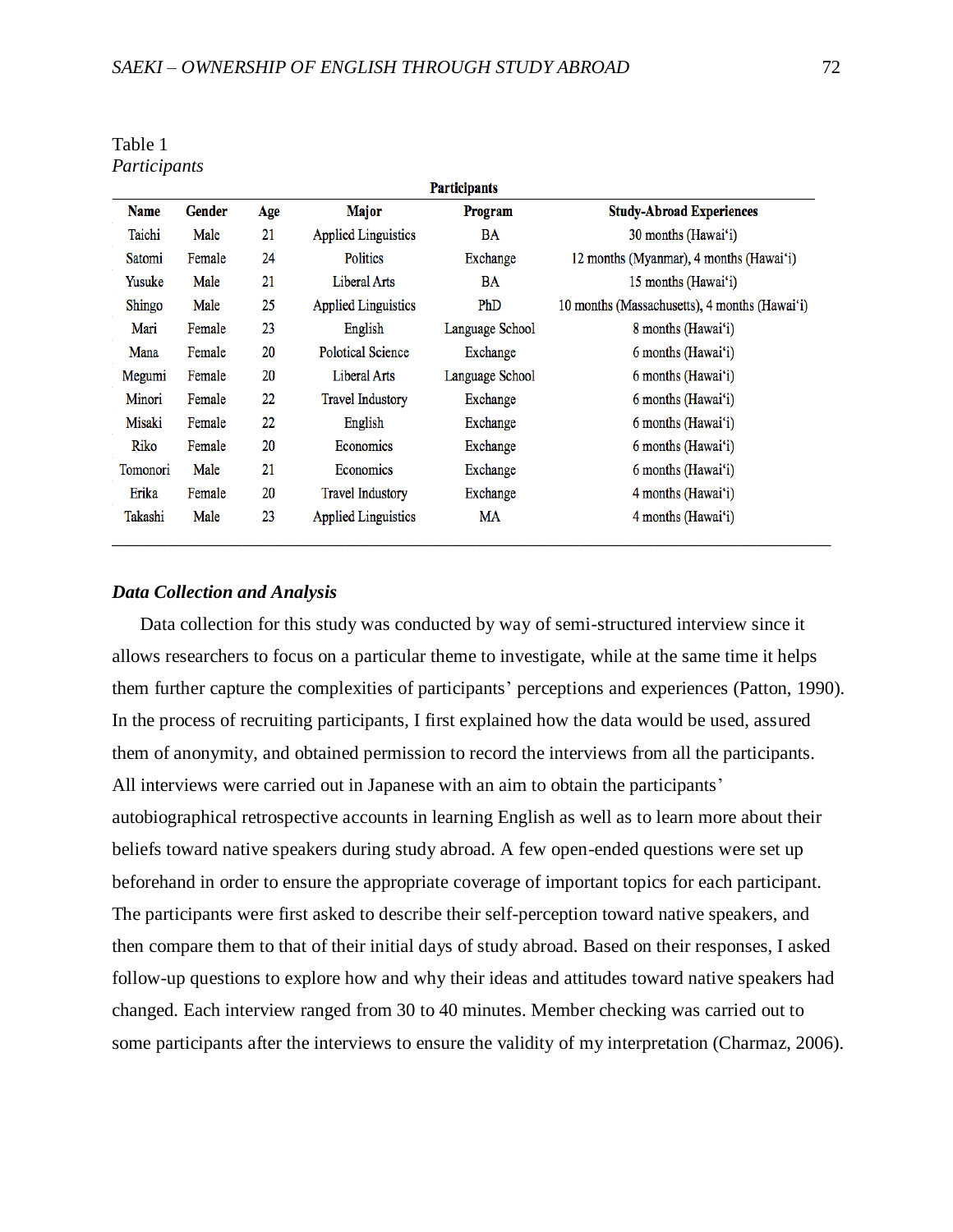| <b>Participants</b> |               |     |                            |                 |                                               |  |  |
|---------------------|---------------|-----|----------------------------|-----------------|-----------------------------------------------|--|--|
| <b>Name</b>         | <b>Gender</b> | Age | <b>Major</b>               | <b>Program</b>  | <b>Study-Abroad Experiences</b>               |  |  |
| Taichi              | Male          | 21  | <b>Applied Linguistics</b> | BA              | 30 months (Hawai'i)                           |  |  |
| Satomi              | Female        | 24  | <b>Politics</b>            | Exchange        | 12 months (Myanmar), 4 months (Hawai'i)       |  |  |
| Yusuke              | Male          | 21  | Liberal Arts               | BA              | 15 months (Hawai'i)                           |  |  |
| Shingo              | Male          | 25  | <b>Applied Linguistics</b> | PhD             | 10 months (Massachusetts), 4 months (Hawai'i) |  |  |
| Mari                | Female        | 23  | English                    | Language School | 8 months (Hawai'i)                            |  |  |
| Mana                | Female        | 20  | <b>Polotical Science</b>   | Exchange        | 6 months (Hawai'i)                            |  |  |
| Megumi              | Female        | 20  | Liberal Arts               | Language School | 6 months (Hawai'i)                            |  |  |
| Minori              | Female        | 22  | <b>Travel Industory</b>    | Exchange        | 6 months (Hawai'i)                            |  |  |
| Misaki              | Female        | 22  | English                    | Exchange        | 6 months (Hawai'i)                            |  |  |
| Riko                | Female        | 20  | Economics                  | Exchange        | 6 months (Hawai'i)                            |  |  |
| Tomonori            | Male          | 21  | Economics                  | Exchange        | 6 months (Hawai'i)                            |  |  |
| Erika               | Female        | 20  | <b>Travel Industory</b>    | Exchange        | 4 months (Hawai'i)                            |  |  |
| Takashi             | Male          | 23  | <b>Applied Linguistics</b> | MA              | 4 months (Hawai'i)                            |  |  |

Table 1 *Participants*

# *Data Collection and Analysis*

Data collection for this study was conducted by way of semi-structured interview since it allows researchers to focus on a particular theme to investigate, while at the same time it helps them further capture the complexities of participants' perceptions and experiences (Patton, 1990). In the process of recruiting participants, I first explained how the data would be used, assured them of anonymity, and obtained permission to record the interviews from all the participants. All interviews were carried out in Japanese with an aim to obtain the participants' autobiographical retrospective accounts in learning English as well as to learn more about their beliefs toward native speakers during study abroad. A few open-ended questions were set up beforehand in order to ensure the appropriate coverage of important topics for each participant. The participants were first asked to describe their self-perception toward native speakers, and then compare them to that of their initial days of study abroad. Based on their responses, I asked follow-up questions to explore how and why their ideas and attitudes toward native speakers had changed. Each interview ranged from 30 to 40 minutes. Member checking was carried out to some participants after the interviews to ensure the validity of my interpretation (Charmaz, 2006).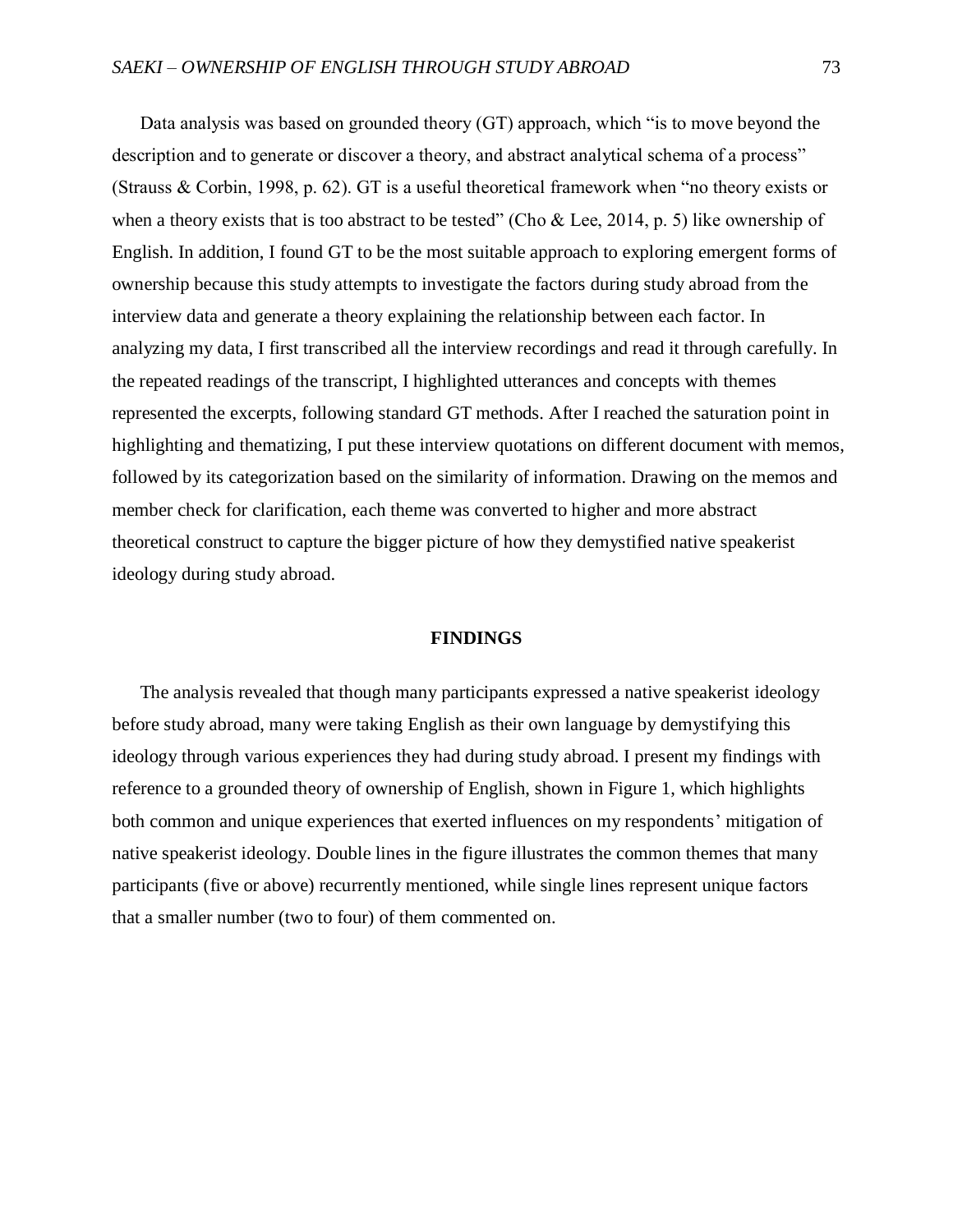Data analysis was based on grounded theory (GT) approach, which "is to move beyond the description and to generate or discover a theory, and abstract analytical schema of a process" (Strauss & Corbin, 1998, p. 62). GT is a useful theoretical framework when "no theory exists or when a theory exists that is too abstract to be tested" (Cho & Lee, 2014, p. 5) like ownership of English. In addition, I found GT to be the most suitable approach to exploring emergent forms of ownership because this study attempts to investigate the factors during study abroad from the interview data and generate a theory explaining the relationship between each factor. In analyzing my data, I first transcribed all the interview recordings and read it through carefully. In the repeated readings of the transcript, I highlighted utterances and concepts with themes represented the excerpts, following standard GT methods. After I reached the saturation point in highlighting and thematizing, I put these interview quotations on different document with memos, followed by its categorization based on the similarity of information. Drawing on the memos and member check for clarification, each theme was converted to higher and more abstract theoretical construct to capture the bigger picture of how they demystified native speakerist ideology during study abroad.

#### **FINDINGS**

The analysis revealed that though many participants expressed a native speakerist ideology before study abroad, many were taking English as their own language by demystifying this ideology through various experiences they had during study abroad. I present my findings with reference to a grounded theory of ownership of English, shown in Figure 1, which highlights both common and unique experiences that exerted influences on my respondents' mitigation of native speakerist ideology. Double lines in the figure illustrates the common themes that many participants (five or above) recurrently mentioned, while single lines represent unique factors that a smaller number (two to four) of them commented on.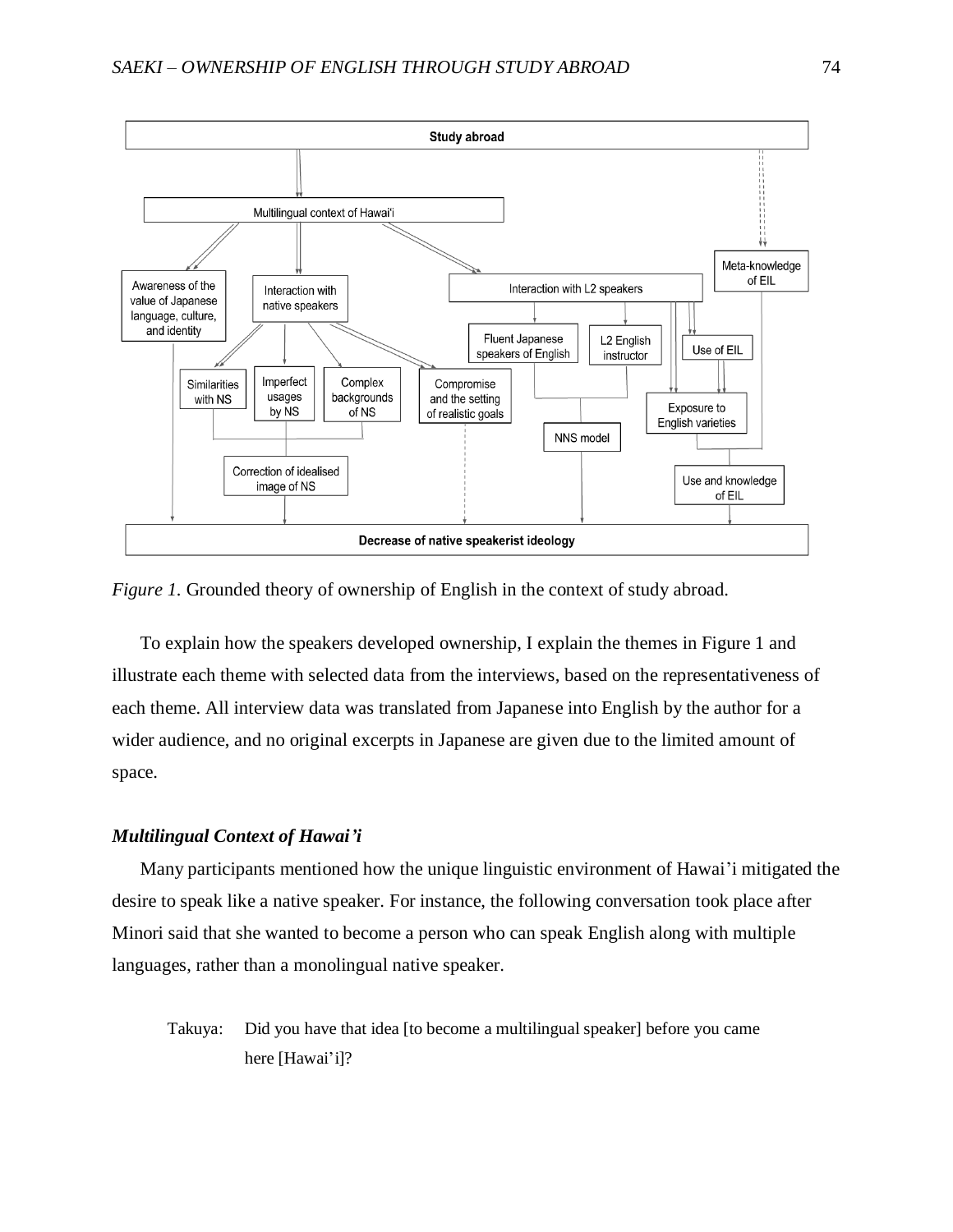

*Figure 1.* Grounded theory of ownership of English in the context of study abroad.

To explain how the speakers developed ownership, I explain the themes in Figure 1 and illustrate each theme with selected data from the interviews, based on the representativeness of each theme. All interview data was translated from Japanese into English by the author for a wider audience, and no original excerpts in Japanese are given due to the limited amount of space.

## *Multilingual Context of Hawai'i*

Many participants mentioned how the unique linguistic environment of Hawai'i mitigated the desire to speak like a native speaker. For instance, the following conversation took place after Minori said that she wanted to become a person who can speak English along with multiple languages, rather than a monolingual native speaker.

Takuya: Did you have that idea [to become a multilingual speaker] before you came here [Hawai'i]?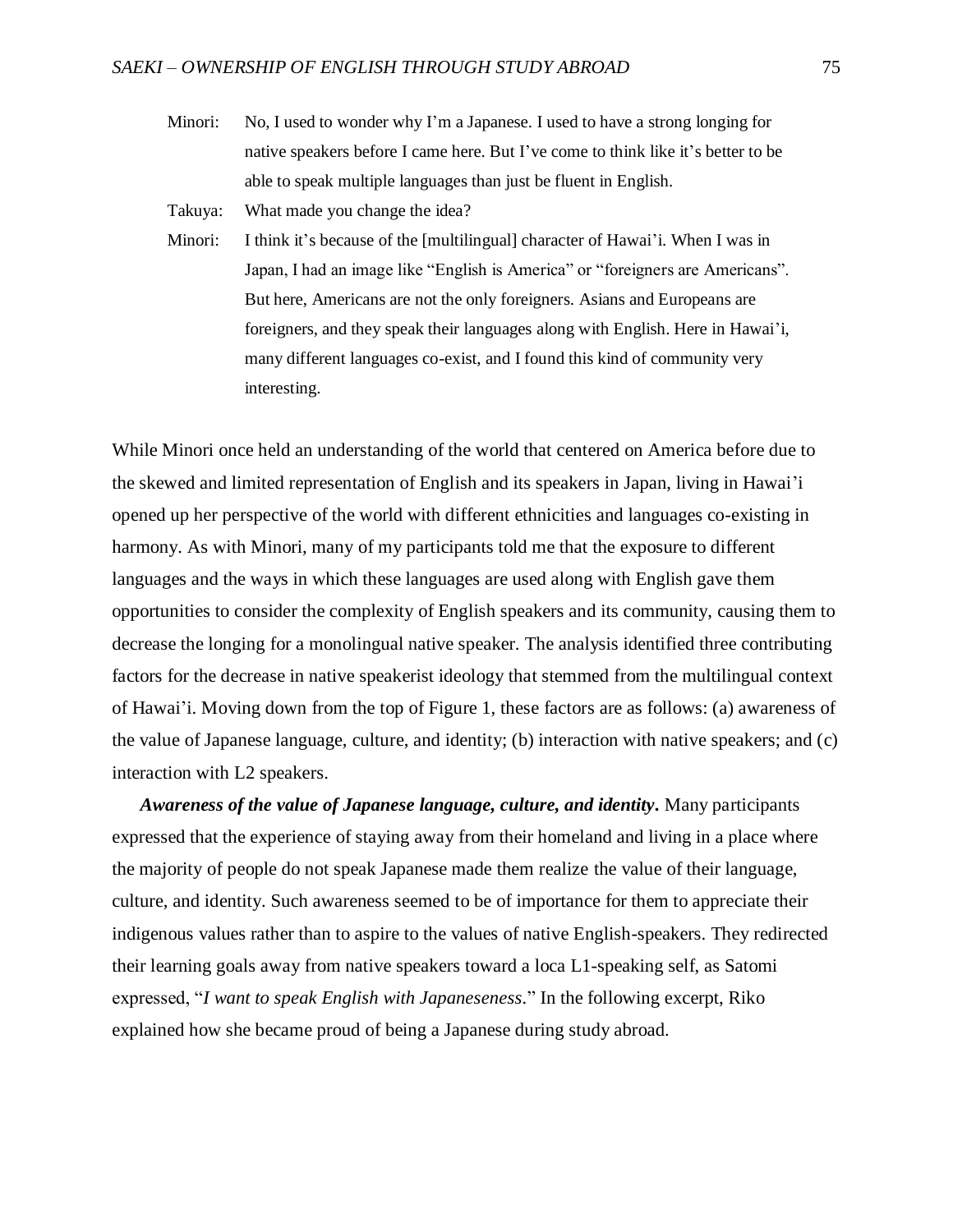Minori: No, I used to wonder why I'm a Japanese. I used to have a strong longing for native speakers before I came here. But I've come to think like it's better to be able to speak multiple languages than just be fluent in English.

Takuya: What made you change the idea?

Minori: I think it's because of the [multilingual] character of Hawai'i. When I was in Japan, I had an image like "English is America" or "foreigners are Americans". But here, Americans are not the only foreigners. Asians and Europeans are foreigners, and they speak their languages along with English. Here in Hawai'i, many different languages co-exist, and I found this kind of community very interesting.

While Minori once held an understanding of the world that centered on America before due to the skewed and limited representation of English and its speakers in Japan, living in Hawai'i opened up her perspective of the world with different ethnicities and languages co-existing in harmony. As with Minori, many of my participants told me that the exposure to different languages and the ways in which these languages are used along with English gave them opportunities to consider the complexity of English speakers and its community, causing them to decrease the longing for a monolingual native speaker. The analysis identified three contributing factors for the decrease in native speakerist ideology that stemmed from the multilingual context of Hawai'i. Moving down from the top of Figure 1, these factors are as follows: (a) awareness of the value of Japanese language, culture, and identity; (b) interaction with native speakers; and (c) interaction with L2 speakers.

*Awareness of the value of Japanese language, culture, and identity.* Many participants expressed that the experience of staying away from their homeland and living in a place where the majority of people do not speak Japanese made them realize the value of their language, culture, and identity. Such awareness seemed to be of importance for them to appreciate their indigenous values rather than to aspire to the values of native English-speakers. They redirected their learning goals away from native speakers toward a loca L1-speaking self, as Satomi expressed, "*I want to speak English with Japaneseness.*" In the following excerpt, Riko explained how she became proud of being a Japanese during study abroad.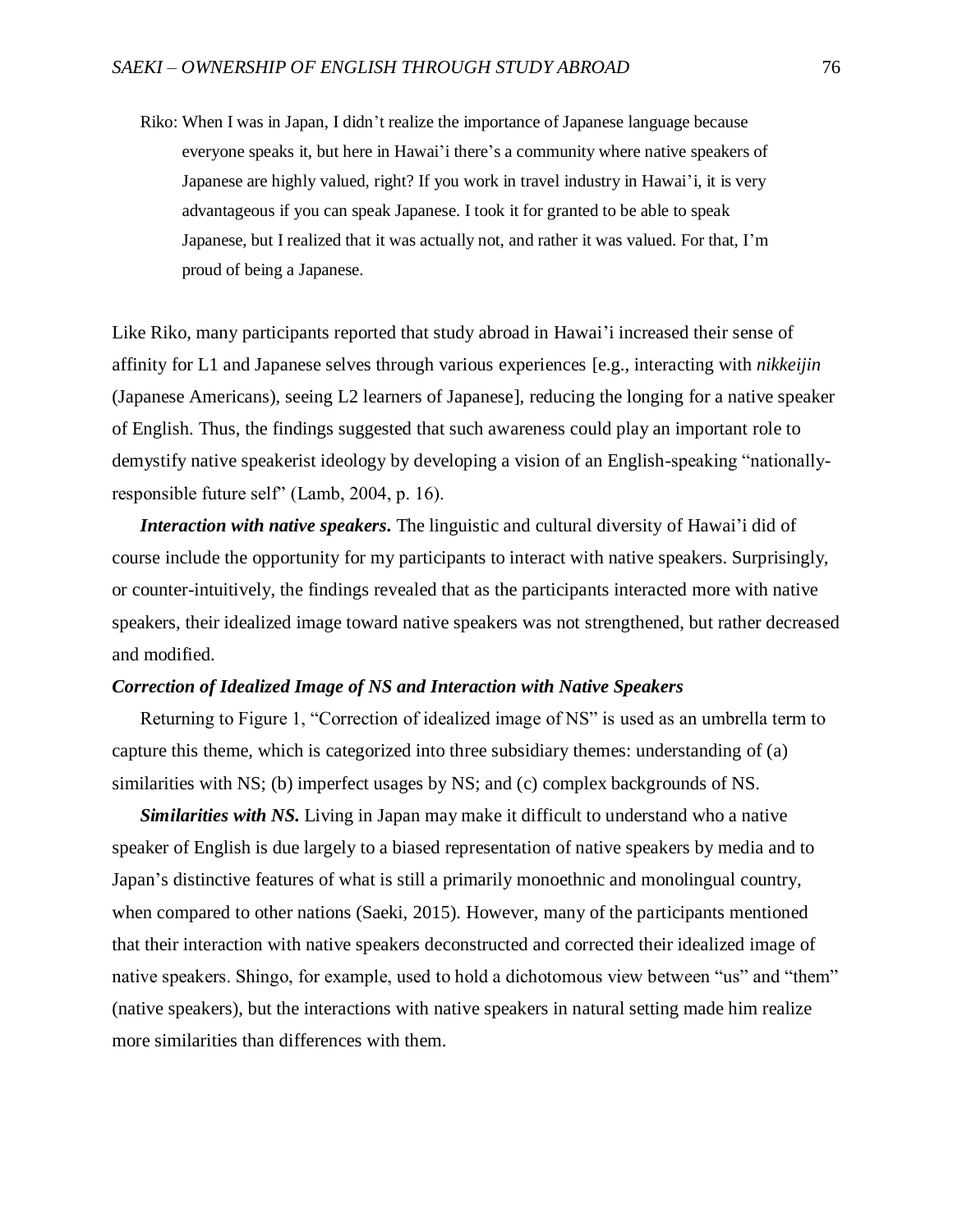Riko: When I was in Japan, I didn't realize the importance of Japanese language because everyone speaks it, but here in Hawai'i there's a community where native speakers of Japanese are highly valued, right? If you work in travel industry in Hawai'i, it is very advantageous if you can speak Japanese. I took it for granted to be able to speak Japanese, but I realized that it was actually not, and rather it was valued. For that, I'm proud of being a Japanese.

Like Riko, many participants reported that study abroad in Hawai'i increased their sense of affinity for L1 and Japanese selves through various experiences [e.g., interacting with *nikkeijin* (Japanese Americans), seeing L2 learners of Japanese], reducing the longing for a native speaker of English. Thus, the findings suggested that such awareness could play an important role to demystify native speakerist ideology by developing a vision of an English-speaking "nationallyresponsible future self" (Lamb, 2004, p. 16).

*Interaction with native speakers.* The linguistic and cultural diversity of Hawai'i did of course include the opportunity for my participants to interact with native speakers. Surprisingly, or counter-intuitively, the findings revealed that as the participants interacted more with native speakers, their idealized image toward native speakers was not strengthened, but rather decreased and modified.

# *Correction of Idealized Image of NS and Interaction with Native Speakers*

Returning to Figure 1, "Correction of idealized image of NS" is used as an umbrella term to capture this theme, which is categorized into three subsidiary themes: understanding of (a) similarities with NS; (b) imperfect usages by NS; and (c) complex backgrounds of NS.

*Similarities with NS.* Living in Japan may make it difficult to understand who a native speaker of English is due largely to a biased representation of native speakers by media and to Japan's distinctive features of what is still a primarily monoethnic and monolingual country, when compared to other nations (Saeki, 2015). However, many of the participants mentioned that their interaction with native speakers deconstructed and corrected their idealized image of native speakers. Shingo, for example, used to hold a dichotomous view between "us" and "them" (native speakers), but the interactions with native speakers in natural setting made him realize more similarities than differences with them.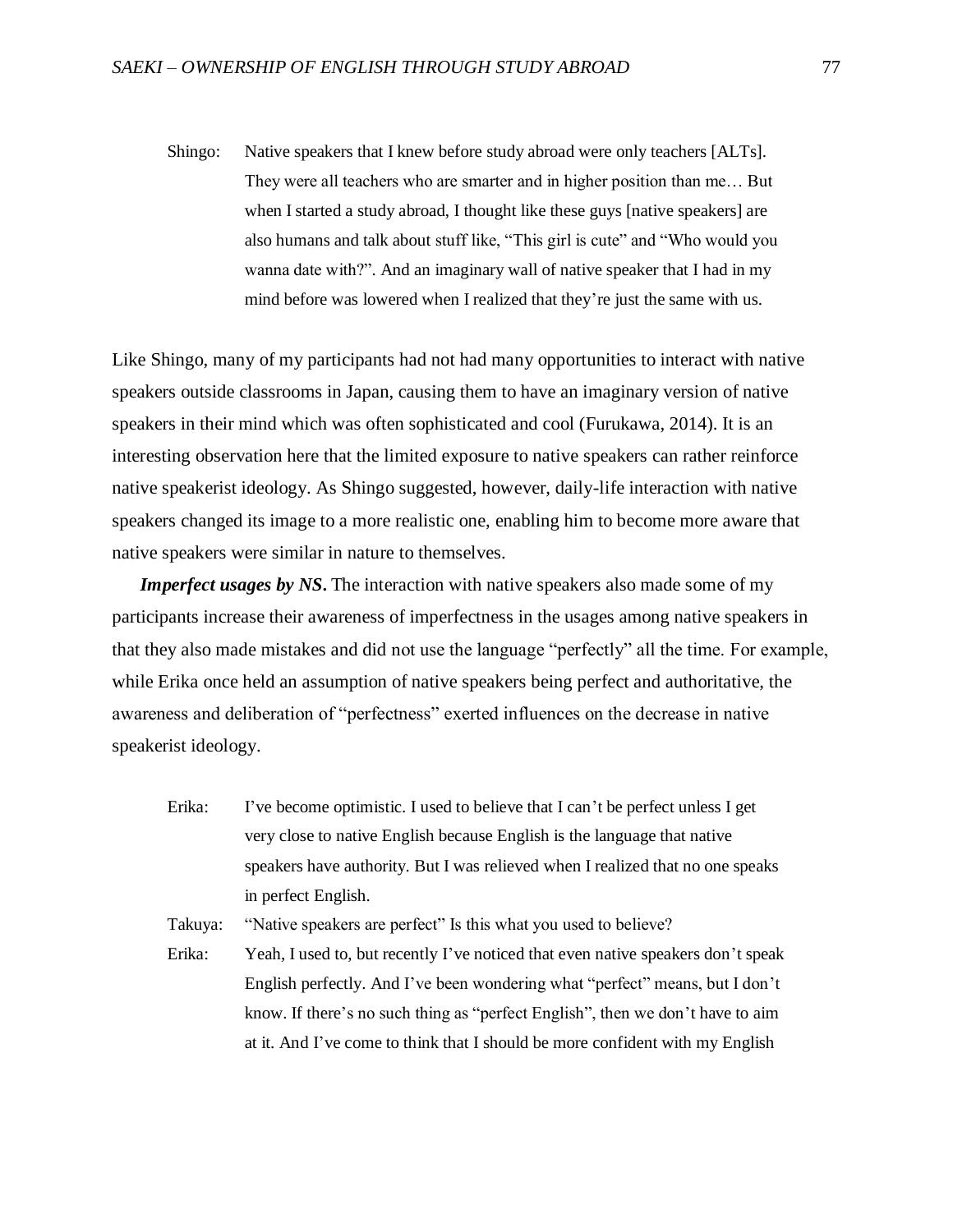Shingo: Native speakers that I knew before study abroad were only teachers [ALTs]. They were all teachers who are smarter and in higher position than me… But when I started a study abroad, I thought like these guys [native speakers] are also humans and talk about stuff like, "This girl is cute" and "Who would you wanna date with?". And an imaginary wall of native speaker that I had in my mind before was lowered when I realized that they're just the same with us.

Like Shingo, many of my participants had not had many opportunities to interact with native speakers outside classrooms in Japan, causing them to have an imaginary version of native speakers in their mind which was often sophisticated and cool (Furukawa, 2014). It is an interesting observation here that the limited exposure to native speakers can rather reinforce native speakerist ideology. As Shingo suggested, however, daily-life interaction with native speakers changed its image to a more realistic one, enabling him to become more aware that native speakers were similar in nature to themselves.

*Imperfect usages by NS***.** The interaction with native speakers also made some of my participants increase their awareness of imperfectness in the usages among native speakers in that they also made mistakes and did not use the language "perfectly" all the time. For example, while Erika once held an assumption of native speakers being perfect and authoritative, the awareness and deliberation of "perfectness" exerted influences on the decrease in native speakerist ideology.

Erika: I've become optimistic. I used to believe that I can't be perfect unless I get very close to native English because English is the language that native speakers have authority. But I was relieved when I realized that no one speaks in perfect English.

Takuya: "Native speakers are perfect" Is this what you used to believe?

Erika: Yeah, I used to, but recently I've noticed that even native speakers don't speak English perfectly. And I've been wondering what "perfect" means, but I don't know. If there's no such thing as "perfect English", then we don't have to aim at it. And I've come to think that I should be more confident with my English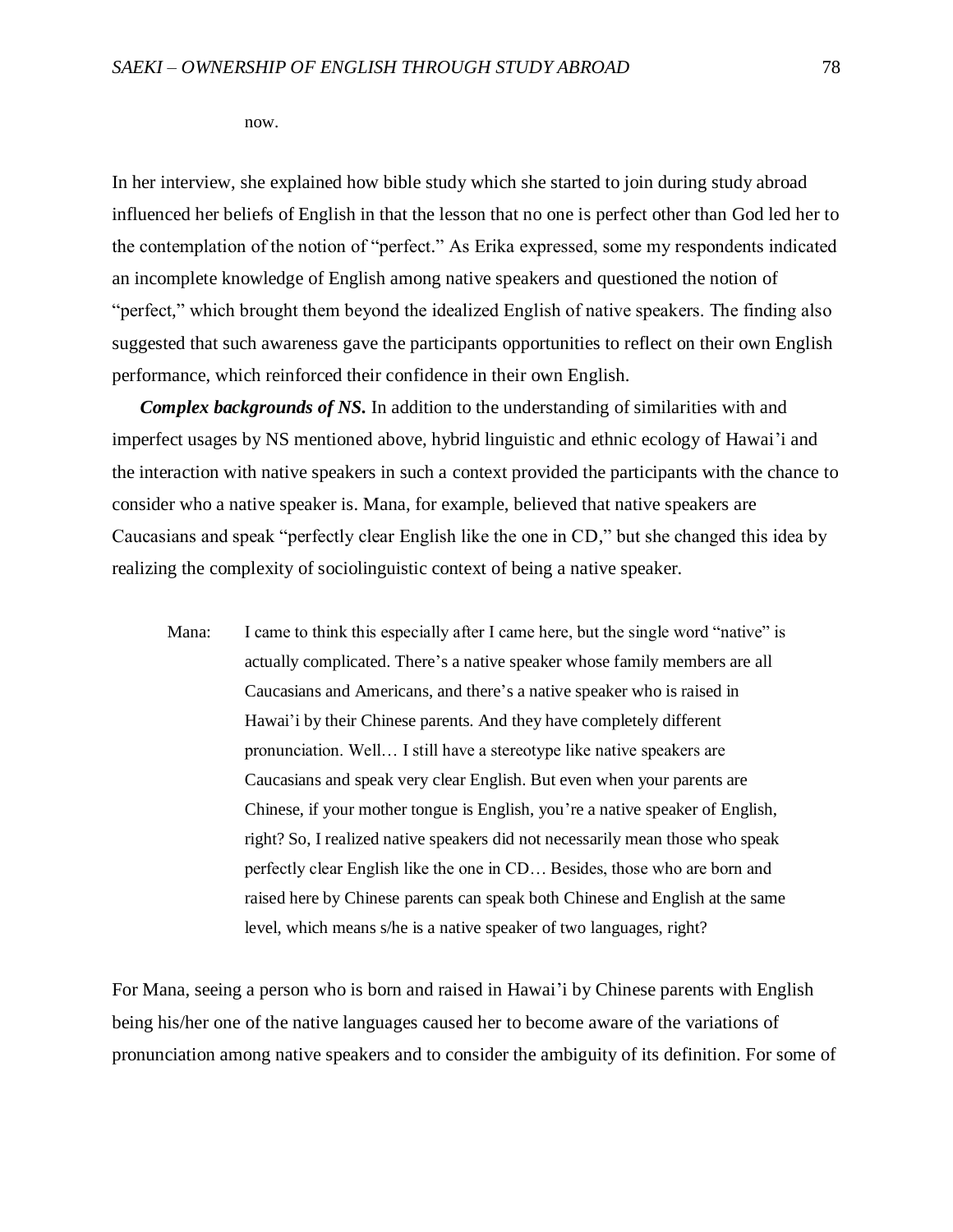now.

In her interview, she explained how bible study which she started to join during study abroad influenced her beliefs of English in that the lesson that no one is perfect other than God led her to the contemplation of the notion of "perfect." As Erika expressed, some my respondents indicated an incomplete knowledge of English among native speakers and questioned the notion of "perfect," which brought them beyond the idealized English of native speakers. The finding also suggested that such awareness gave the participants opportunities to reflect on their own English performance, which reinforced their confidence in their own English.

*Complex backgrounds of NS.* In addition to the understanding of similarities with and imperfect usages by NS mentioned above, hybrid linguistic and ethnic ecology of Hawai'i and the interaction with native speakers in such a context provided the participants with the chance to consider who a native speaker is. Mana, for example, believed that native speakers are Caucasians and speak "perfectly clear English like the one in CD," but she changed this idea by realizing the complexity of sociolinguistic context of being a native speaker.

Mana: I came to think this especially after I came here, but the single word "native" is actually complicated. There's a native speaker whose family members are all Caucasians and Americans, and there's a native speaker who is raised in Hawai'i by their Chinese parents. And they have completely different pronunciation. Well… I still have a stereotype like native speakers are Caucasians and speak very clear English. But even when your parents are Chinese, if your mother tongue is English, you're a native speaker of English, right? So, I realized native speakers did not necessarily mean those who speak perfectly clear English like the one in CD… Besides, those who are born and raised here by Chinese parents can speak both Chinese and English at the same level, which means s/he is a native speaker of two languages, right?

For Mana, seeing a person who is born and raised in Hawai'i by Chinese parents with English being his/her one of the native languages caused her to become aware of the variations of pronunciation among native speakers and to consider the ambiguity of its definition. For some of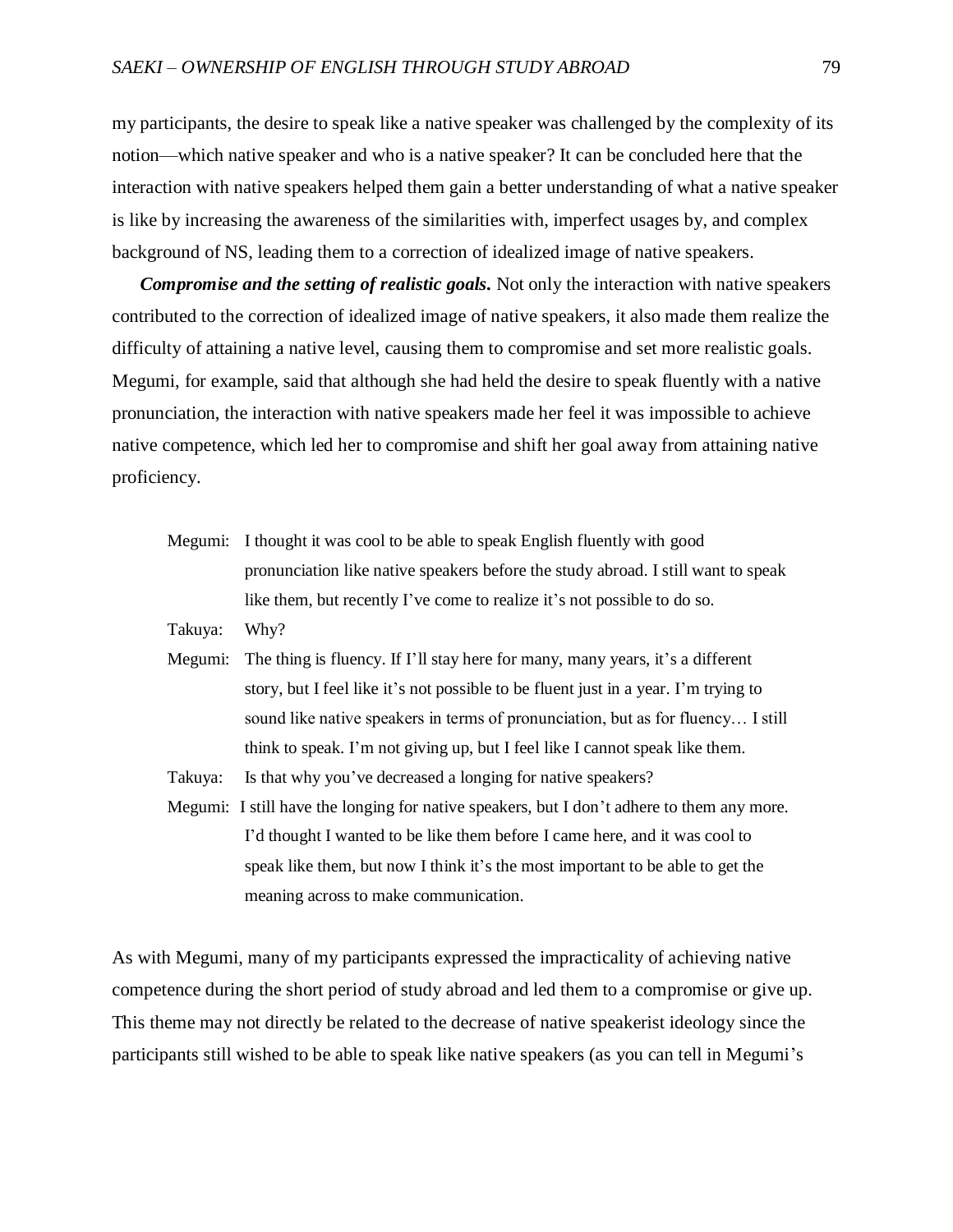my participants, the desire to speak like a native speaker was challenged by the complexity of its notion—which native speaker and who is a native speaker? It can be concluded here that the interaction with native speakers helped them gain a better understanding of what a native speaker is like by increasing the awareness of the similarities with, imperfect usages by, and complex background of NS, leading them to a correction of idealized image of native speakers.

*Compromise and the setting of realistic goals.* Not only the interaction with native speakers contributed to the correction of idealized image of native speakers, it also made them realize the difficulty of attaining a native level, causing them to compromise and set more realistic goals. Megumi, for example, said that although she had held the desire to speak fluently with a native pronunciation, the interaction with native speakers made her feel it was impossible to achieve native competence, which led her to compromise and shift her goal away from attaining native proficiency.

- Megumi: I thought it was cool to be able to speak English fluently with good pronunciation like native speakers before the study abroad. I still want to speak like them, but recently I've come to realize it's not possible to do so.
- Takuya: Why?
- Megumi: The thing is fluency. If I'll stay here for many, many years, it's a different story, but I feel like it's not possible to be fluent just in a year. I'm trying to sound like native speakers in terms of pronunciation, but as for fluency… I still think to speak. I'm not giving up, but I feel like I cannot speak like them.
- Takuya: Is that why you've decreased a longing for native speakers?
- Megumi: I still have the longing for native speakers, but I don't adhere to them any more. I'd thought I wanted to be like them before I came here, and it was cool to speak like them, but now I think it's the most important to be able to get the meaning across to make communication.

As with Megumi, many of my participants expressed the impracticality of achieving native competence during the short period of study abroad and led them to a compromise or give up. This theme may not directly be related to the decrease of native speakerist ideology since the participants still wished to be able to speak like native speakers (as you can tell in Megumi's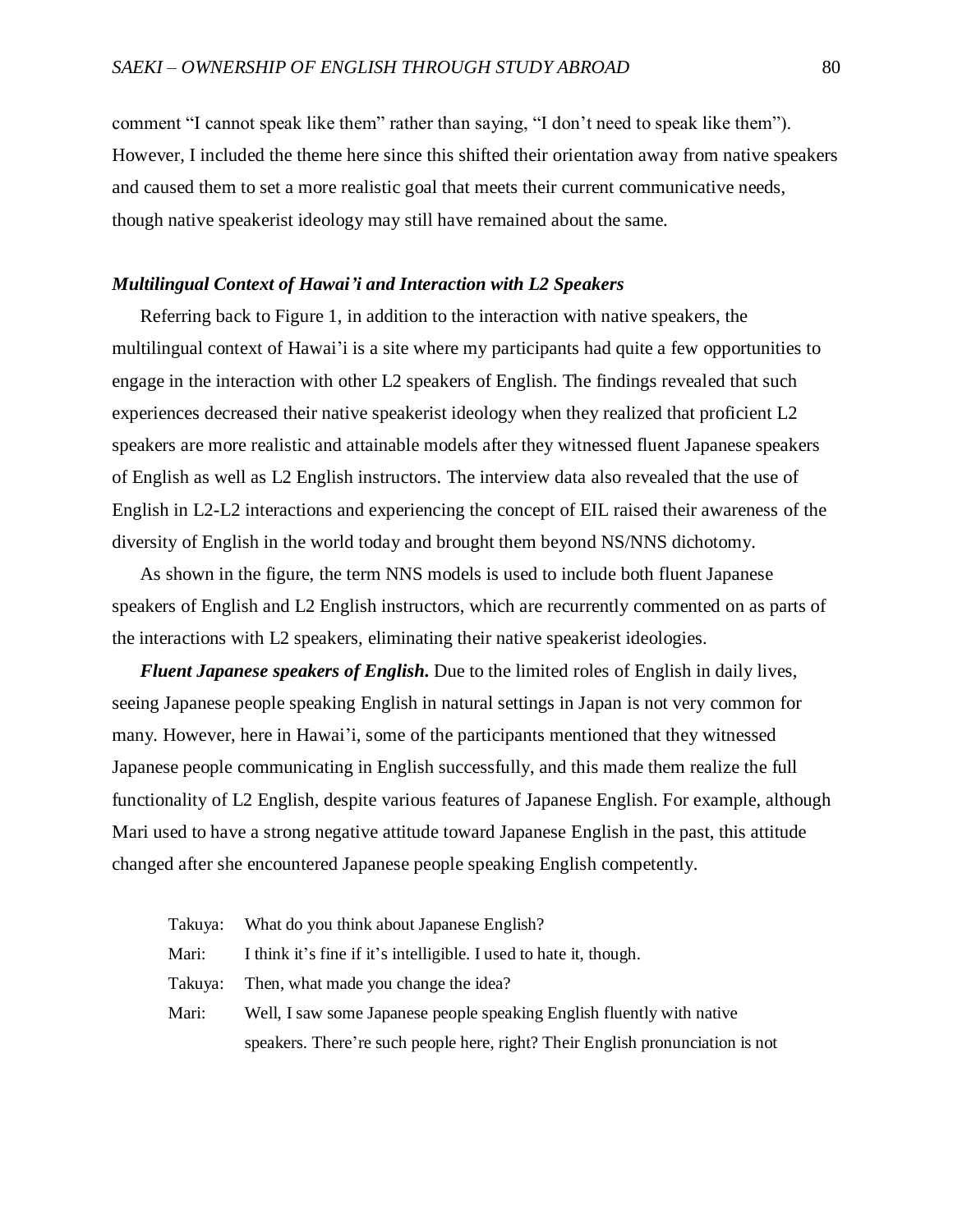comment "I cannot speak like them" rather than saying, "I don't need to speak like them"). However, I included the theme here since this shifted their orientation away from native speakers and caused them to set a more realistic goal that meets their current communicative needs, though native speakerist ideology may still have remained about the same.

# *Multilingual Context of Hawai'i and Interaction with L2 Speakers*

Referring back to Figure 1, in addition to the interaction with native speakers, the multilingual context of Hawai'i is a site where my participants had quite a few opportunities to engage in the interaction with other L2 speakers of English. The findings revealed that such experiences decreased their native speakerist ideology when they realized that proficient L2 speakers are more realistic and attainable models after they witnessed fluent Japanese speakers of English as well as L2 English instructors. The interview data also revealed that the use of English in L2-L2 interactions and experiencing the concept of EIL raised their awareness of the diversity of English in the world today and brought them beyond NS/NNS dichotomy.

As shown in the figure, the term NNS models is used to include both fluent Japanese speakers of English and L2 English instructors, which are recurrently commented on as parts of the interactions with L2 speakers, eliminating their native speakerist ideologies.

*Fluent Japanese speakers of English.* Due to the limited roles of English in daily lives, seeing Japanese people speaking English in natural settings in Japan is not very common for many. However, here in Hawai'i, some of the participants mentioned that they witnessed Japanese people communicating in English successfully, and this made them realize the full functionality of L2 English, despite various features of Japanese English. For example, although Mari used to have a strong negative attitude toward Japanese English in the past, this attitude changed after she encountered Japanese people speaking English competently.

| Takuya: | What do you think about Japanese English?                                      |
|---------|--------------------------------------------------------------------------------|
| Mari:   | I think it's fine if it's intelligible. I used to hate it, though.             |
| Takuya: | Then, what made you change the idea?                                           |
| Mari:   | Well, I saw some Japanese people speaking English fluently with native         |
|         | speakers. There're such people here, right? Their English pronunciation is not |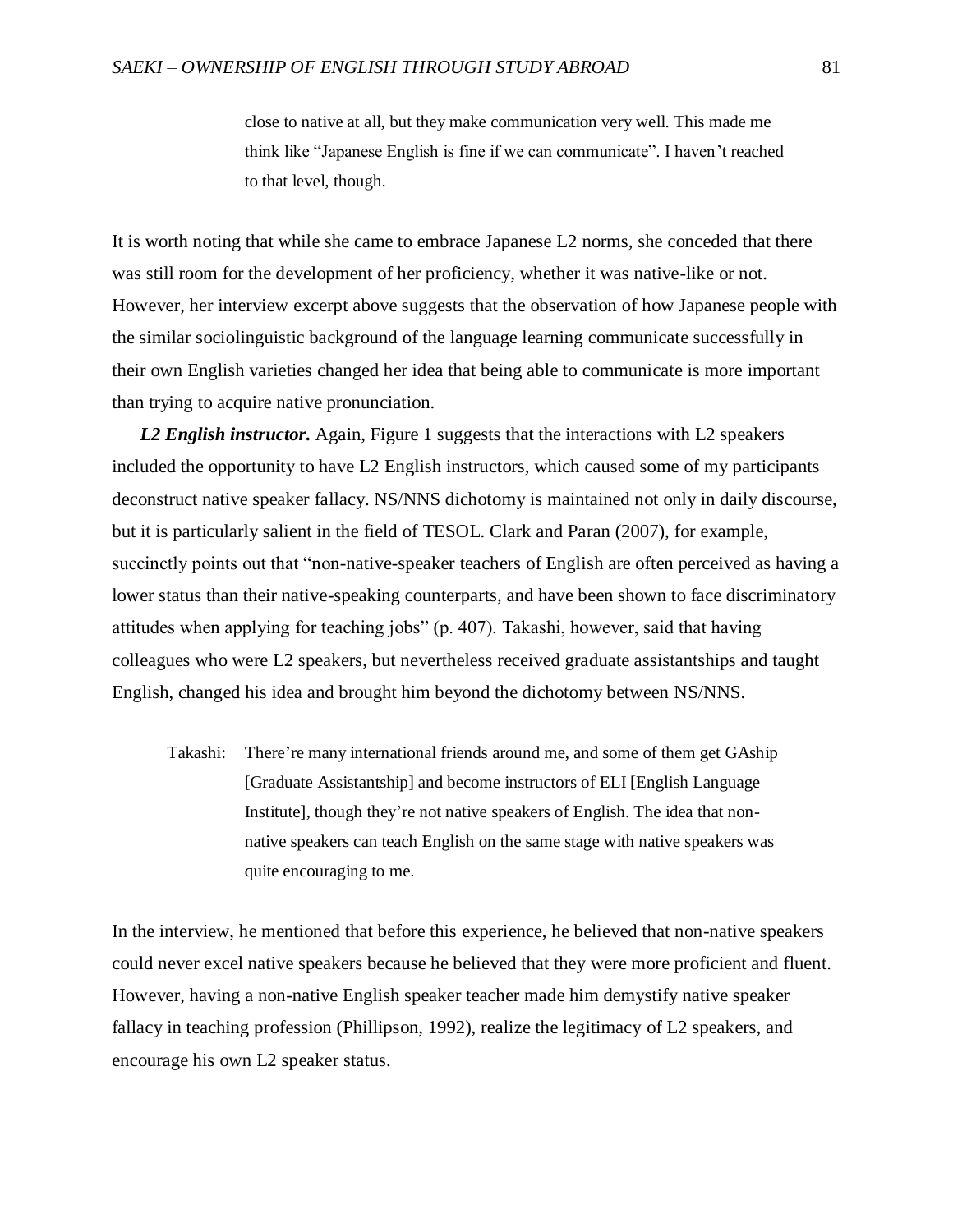close to native at all, but they make communication very well. This made me think like "Japanese English is fine if we can communicate". I haven't reached to that level, though.

It is worth noting that while she came to embrace Japanese L2 norms, she conceded that there was still room for the development of her proficiency, whether it was native-like or not. However, her interview excerpt above suggests that the observation of how Japanese people with the similar sociolinguistic background of the language learning communicate successfully in their own English varieties changed her idea that being able to communicate is more important than trying to acquire native pronunciation.

*L2 English instructor.* Again, Figure 1 suggests that the interactions with L2 speakers included the opportunity to have L2 English instructors, which caused some of my participants deconstruct native speaker fallacy. NS/NNS dichotomy is maintained not only in daily discourse, but it is particularly salient in the field of TESOL. Clark and Paran (2007), for example, succinctly points out that "non-native-speaker teachers of English are often perceived as having a lower status than their native-speaking counterparts, and have been shown to face discriminatory attitudes when applying for teaching jobs" (p. 407). Takashi, however, said that having colleagues who were L2 speakers, but nevertheless received graduate assistantships and taught English, changed his idea and brought him beyond the dichotomy between NS/NNS.

Takashi: There're many international friends around me, and some of them get GAship [Graduate Assistantship] and become instructors of ELI [English Language Institute], though they're not native speakers of English. The idea that nonnative speakers can teach English on the same stage with native speakers was quite encouraging to me.

In the interview, he mentioned that before this experience, he believed that non-native speakers could never excel native speakers because he believed that they were more proficient and fluent. However, having a non-native English speaker teacher made him demystify native speaker fallacy in teaching profession (Phillipson, 1992), realize the legitimacy of L2 speakers, and encourage his own L2 speaker status.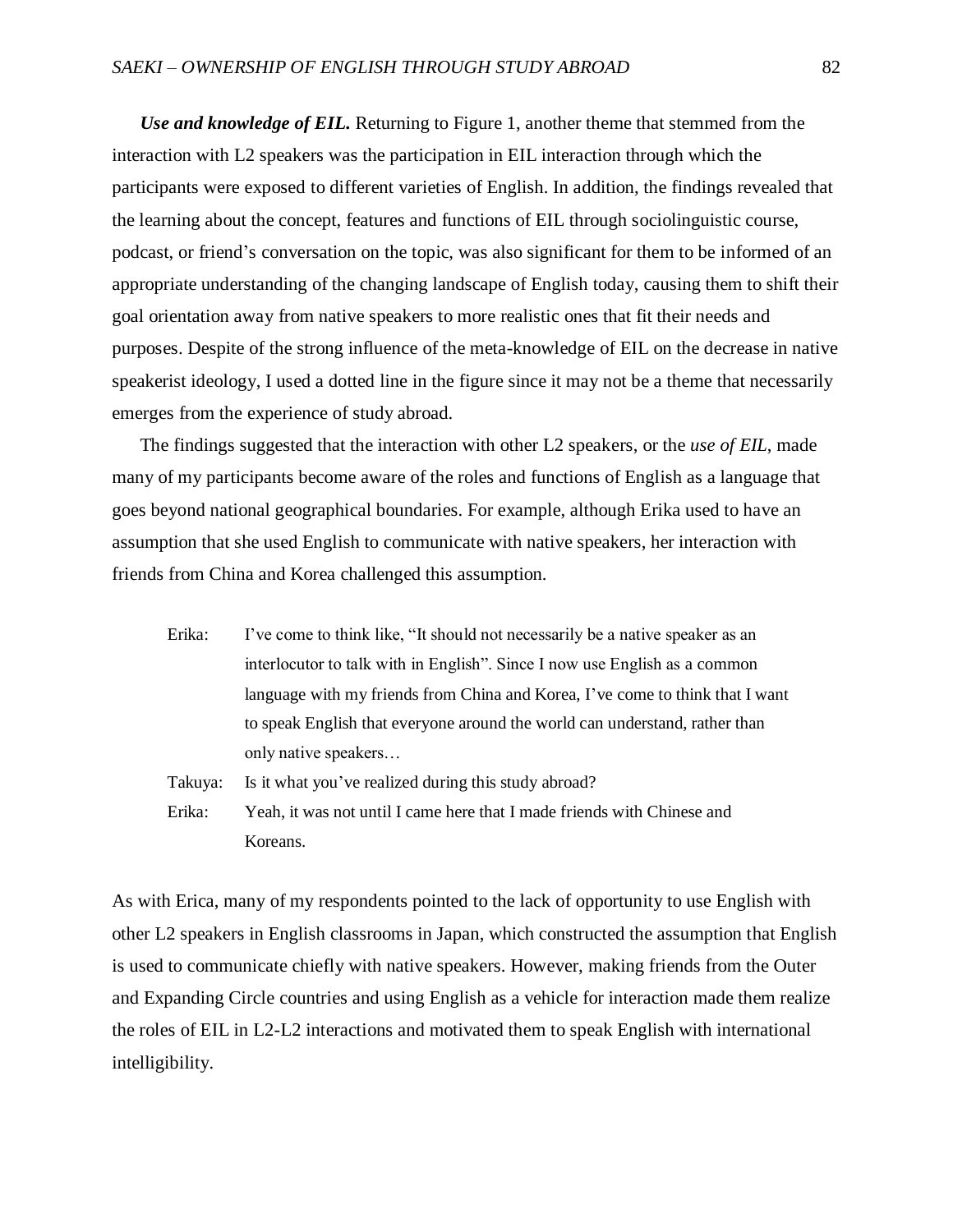*Use and knowledge of EIL.* Returning to Figure 1, another theme that stemmed from the interaction with L2 speakers was the participation in EIL interaction through which the participants were exposed to different varieties of English. In addition, the findings revealed that the learning about the concept, features and functions of EIL through sociolinguistic course, podcast, or friend's conversation on the topic, was also significant for them to be informed of an appropriate understanding of the changing landscape of English today, causing them to shift their goal orientation away from native speakers to more realistic ones that fit their needs and purposes. Despite of the strong influence of the meta-knowledge of EIL on the decrease in native speakerist ideology, I used a dotted line in the figure since it may not be a theme that necessarily emerges from the experience of study abroad.

The findings suggested that the interaction with other L2 speakers, or the *use of EIL*, made many of my participants become aware of the roles and functions of English as a language that goes beyond national geographical boundaries. For example, although Erika used to have an assumption that she used English to communicate with native speakers, her interaction with friends from China and Korea challenged this assumption.

- Erika: I've come to think like, "It should not necessarily be a native speaker as an interlocutor to talk with in English". Since I now use English as a common language with my friends from China and Korea, I've come to think that I want to speak English that everyone around the world can understand, rather than only native speakers…
- Takuya: Is it what you've realized during this study abroad?
- Erika: Yeah, it was not until I came here that I made friends with Chinese and Koreans.

As with Erica, many of my respondents pointed to the lack of opportunity to use English with other L2 speakers in English classrooms in Japan, which constructed the assumption that English is used to communicate chiefly with native speakers. However, making friends from the Outer and Expanding Circle countries and using English as a vehicle for interaction made them realize the roles of EIL in L2-L2 interactions and motivated them to speak English with international intelligibility.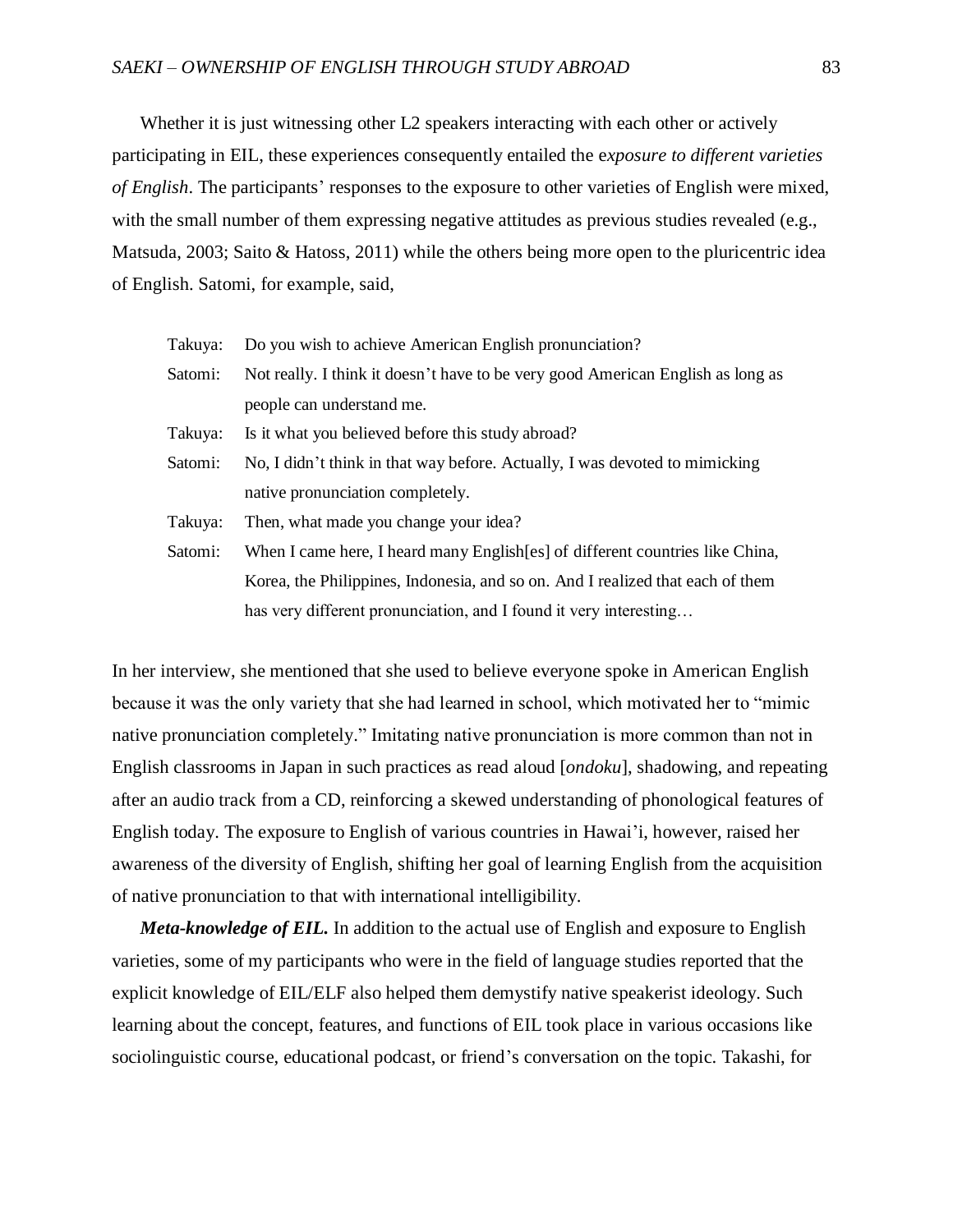# *SAEKI – OWNERSHIP OF ENGLISH THROUGH STUDY ABROAD* 83

Whether it is just witnessing other L2 speakers interacting with each other or actively participating in EIL, these experiences consequently entailed the e*xposure to different varieties of English*. The participants' responses to the exposure to other varieties of English were mixed, with the small number of them expressing negative attitudes as previous studies revealed (e.g., Matsuda, 2003; Saito & Hatoss, 2011) while the others being more open to the pluricentric idea of English. Satomi, for example, said,

| Takuya: | Do you wish to achieve American English pronunciation?                          |  |  |
|---------|---------------------------------------------------------------------------------|--|--|
| Satomi: | Not really. I think it doesn't have to be very good American English as long as |  |  |
|         | people can understand me.                                                       |  |  |
| Takuya: | Is it what you believed before this study abroad?                               |  |  |
| Satomi: | No, I didn't think in that way before. Actually, I was devoted to mimicking     |  |  |
|         | native pronunciation completely.                                                |  |  |
| Takuya: | Then, what made you change your idea?                                           |  |  |
| Satomi: | When I came here, I heard many English [es] of different countries like China,  |  |  |
|         | Korea, the Philippines, Indonesia, and so on. And I realized that each of them  |  |  |
|         | has very different pronunciation, and I found it very interesting               |  |  |

In her interview, she mentioned that she used to believe everyone spoke in American English because it was the only variety that she had learned in school, which motivated her to "mimic native pronunciation completely." Imitating native pronunciation is more common than not in English classrooms in Japan in such practices as read aloud [*ondoku*], shadowing, and repeating after an audio track from a CD, reinforcing a skewed understanding of phonological features of English today. The exposure to English of various countries in Hawai'i, however, raised her awareness of the diversity of English, shifting her goal of learning English from the acquisition of native pronunciation to that with international intelligibility.

*Meta-knowledge of EIL.* In addition to the actual use of English and exposure to English varieties, some of my participants who were in the field of language studies reported that the explicit knowledge of EIL/ELF also helped them demystify native speakerist ideology. Such learning about the concept, features, and functions of EIL took place in various occasions like sociolinguistic course, educational podcast, or friend's conversation on the topic. Takashi, for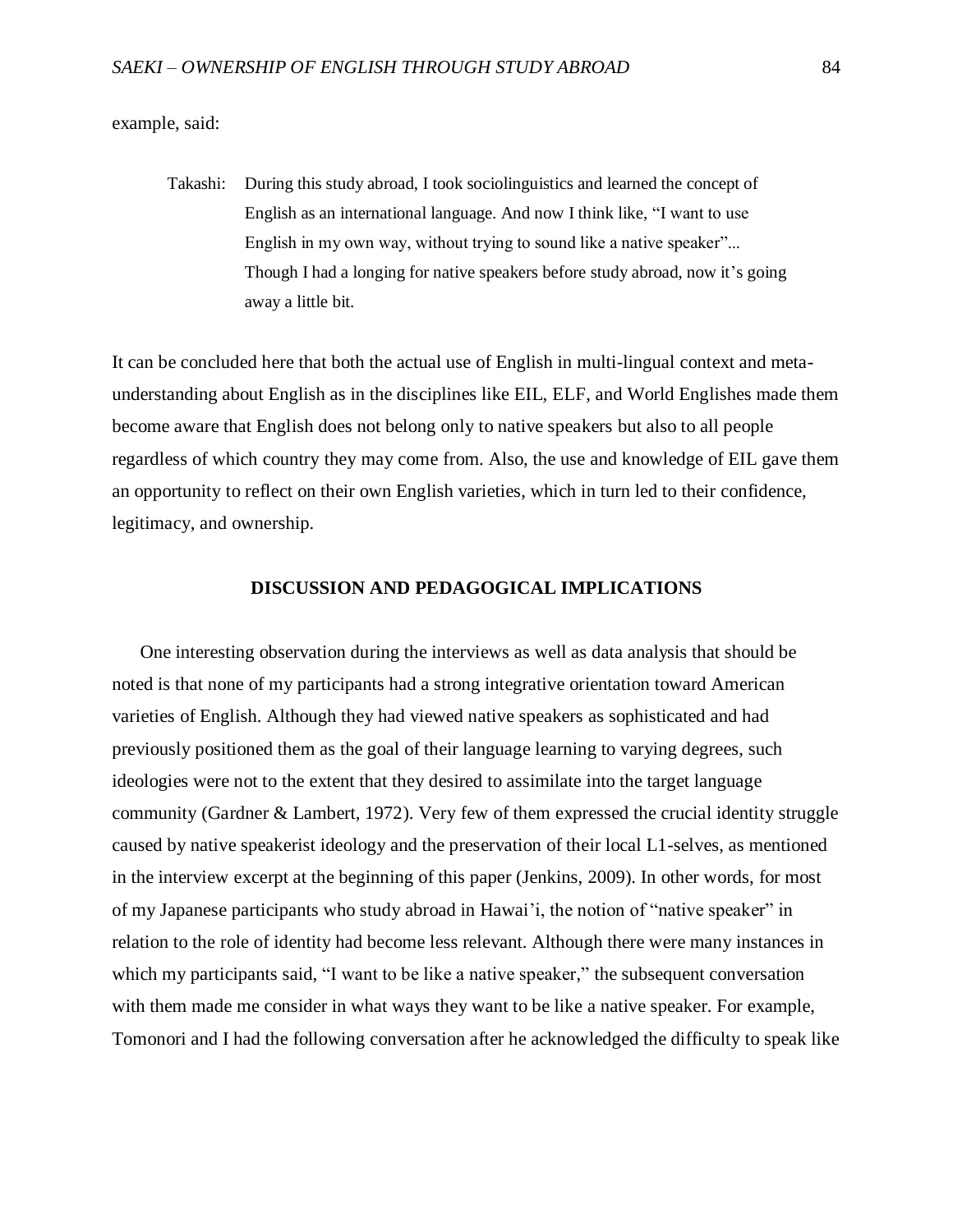example, said:

Takashi: During this study abroad, I took sociolinguistics and learned the concept of English as an international language. And now I think like, "I want to use English in my own way, without trying to sound like a native speaker"... Though I had a longing for native speakers before study abroad, now it's going away a little bit.

It can be concluded here that both the actual use of English in multi-lingual context and metaunderstanding about English as in the disciplines like EIL, ELF, and World Englishes made them become aware that English does not belong only to native speakers but also to all people regardless of which country they may come from. Also, the use and knowledge of EIL gave them an opportunity to reflect on their own English varieties, which in turn led to their confidence, legitimacy, and ownership.

## **DISCUSSION AND PEDAGOGICAL IMPLICATIONS**

One interesting observation during the interviews as well as data analysis that should be noted is that none of my participants had a strong integrative orientation toward American varieties of English. Although they had viewed native speakers as sophisticated and had previously positioned them as the goal of their language learning to varying degrees, such ideologies were not to the extent that they desired to assimilate into the target language community (Gardner & Lambert, 1972). Very few of them expressed the crucial identity struggle caused by native speakerist ideology and the preservation of their local L1-selves, as mentioned in the interview excerpt at the beginning of this paper (Jenkins, 2009). In other words, for most of my Japanese participants who study abroad in Hawai'i, the notion of "native speaker" in relation to the role of identity had become less relevant. Although there were many instances in which my participants said, "I want to be like a native speaker," the subsequent conversation with them made me consider in what ways they want to be like a native speaker. For example, Tomonori and I had the following conversation after he acknowledged the difficulty to speak like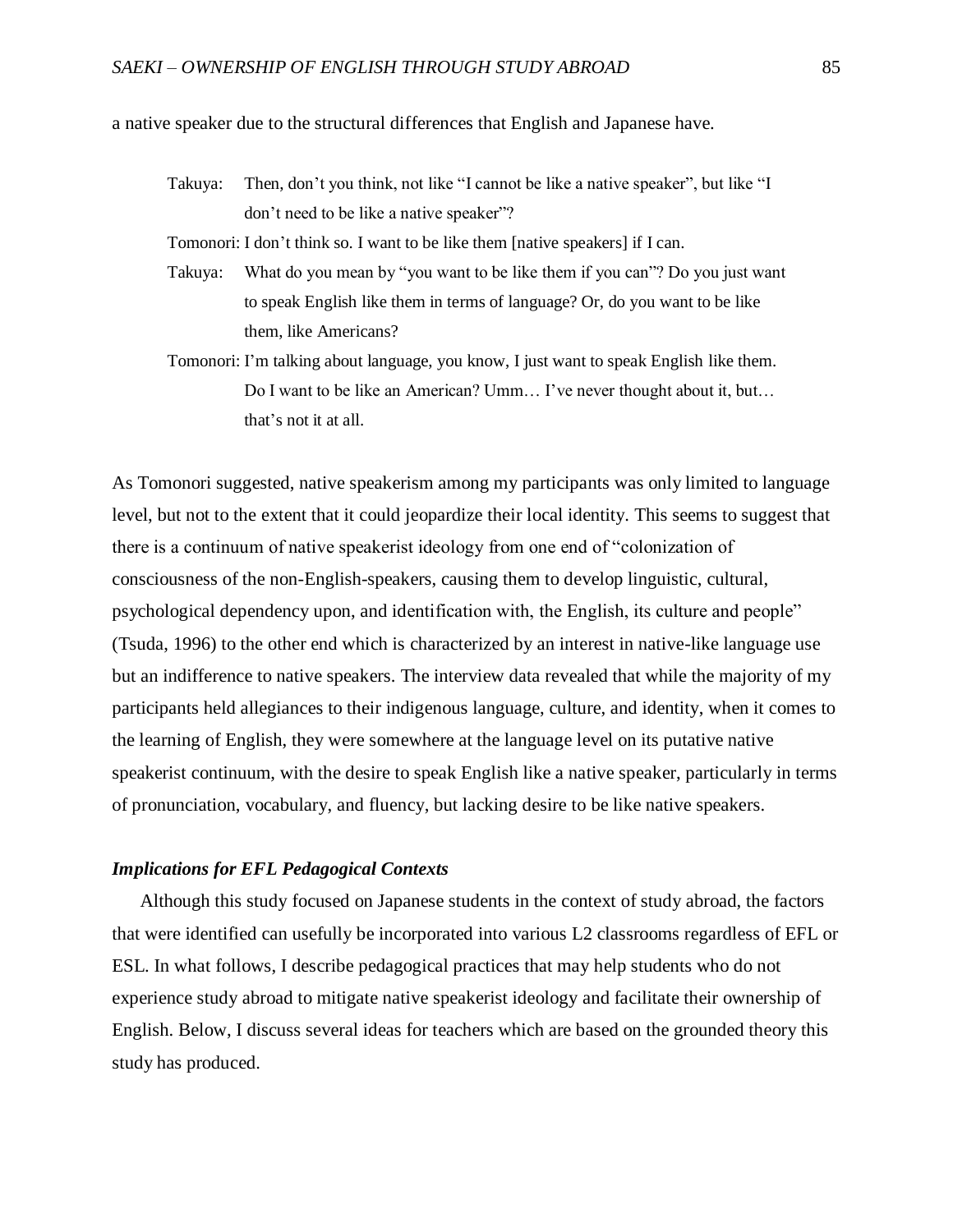a native speaker due to the structural differences that English and Japanese have.

Takuya: Then, don't you think, not like "I cannot be like a native speaker", but like "I don't need to be like a native speaker"?

Tomonori: I don't think so. I want to be like them [native speakers] if I can.

- Takuya: What do you mean by "you want to be like them if you can"? Do you just want to speak English like them in terms of language? Or, do you want to be like them, like Americans?
- Tomonori: I'm talking about language, you know, I just want to speak English like them. Do I want to be like an American? Umm… I've never thought about it, but… that's not it at all.

As Tomonori suggested, native speakerism among my participants was only limited to language level, but not to the extent that it could jeopardize their local identity. This seems to suggest that there is a continuum of native speakerist ideology from one end of "colonization of consciousness of the non-English-speakers, causing them to develop linguistic, cultural, psychological dependency upon, and identification with, the English, its culture and people" (Tsuda, 1996) to the other end which is characterized by an interest in native-like language use but an indifference to native speakers. The interview data revealed that while the majority of my participants held allegiances to their indigenous language, culture, and identity, when it comes to the learning of English, they were somewhere at the language level on its putative native speakerist continuum, with the desire to speak English like a native speaker, particularly in terms of pronunciation, vocabulary, and fluency, but lacking desire to be like native speakers.

# *Implications for EFL Pedagogical Contexts*

Although this study focused on Japanese students in the context of study abroad, the factors that were identified can usefully be incorporated into various L2 classrooms regardless of EFL or ESL. In what follows, I describe pedagogical practices that may help students who do not experience study abroad to mitigate native speakerist ideology and facilitate their ownership of English. Below, I discuss several ideas for teachers which are based on the grounded theory this study has produced.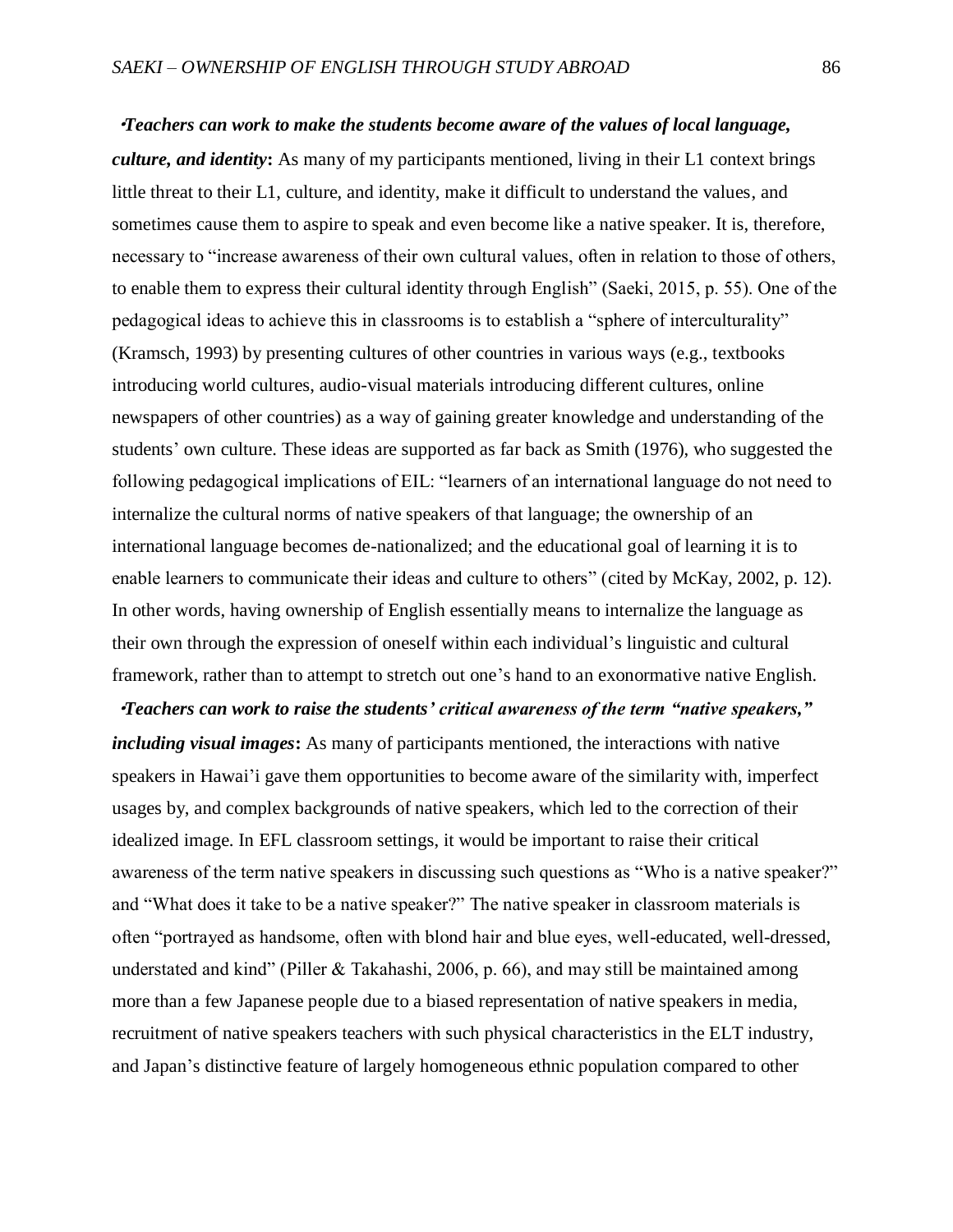・*Teachers can work to make the students become aware of the values of local language, culture, and identity***:** As many of my participants mentioned, living in their L1 context brings little threat to their L1, culture, and identity, make it difficult to understand the values, and sometimes cause them to aspire to speak and even become like a native speaker. It is, therefore, necessary to "increase awareness of their own cultural values, often in relation to those of others, to enable them to express their cultural identity through English" (Saeki, 2015, p. 55). One of the pedagogical ideas to achieve this in classrooms is to establish a "sphere of interculturality" (Kramsch, 1993) by presenting cultures of other countries in various ways (e.g., textbooks introducing world cultures, audio-visual materials introducing different cultures, online newspapers of other countries) as a way of gaining greater knowledge and understanding of the students' own culture. These ideas are supported as far back as Smith (1976), who suggested the following pedagogical implications of EIL: "learners of an international language do not need to internalize the cultural norms of native speakers of that language; the ownership of an international language becomes de-nationalized; and the educational goal of learning it is to enable learners to communicate their ideas and culture to others" (cited by McKay, 2002, p. 12). In other words, having ownership of English essentially means to internalize the language as their own through the expression of oneself within each individual's linguistic and cultural framework, rather than to attempt to stretch out one's hand to an exonormative native English.

・*Teachers can work to raise the students' critical awareness of the term "native speakers," including visual images***:** As many of participants mentioned, the interactions with native speakers in Hawai'i gave them opportunities to become aware of the similarity with, imperfect usages by, and complex backgrounds of native speakers, which led to the correction of their idealized image. In EFL classroom settings, it would be important to raise their critical awareness of the term native speakers in discussing such questions as "Who is a native speaker?" and "What does it take to be a native speaker?" The native speaker in classroom materials is often "portrayed as handsome, often with blond hair and blue eyes, well-educated, well-dressed, understated and kind" (Piller & Takahashi, 2006, p. 66), and may still be maintained among more than a few Japanese people due to a biased representation of native speakers in media, recruitment of native speakers teachers with such physical characteristics in the ELT industry, and Japan's distinctive feature of largely homogeneous ethnic population compared to other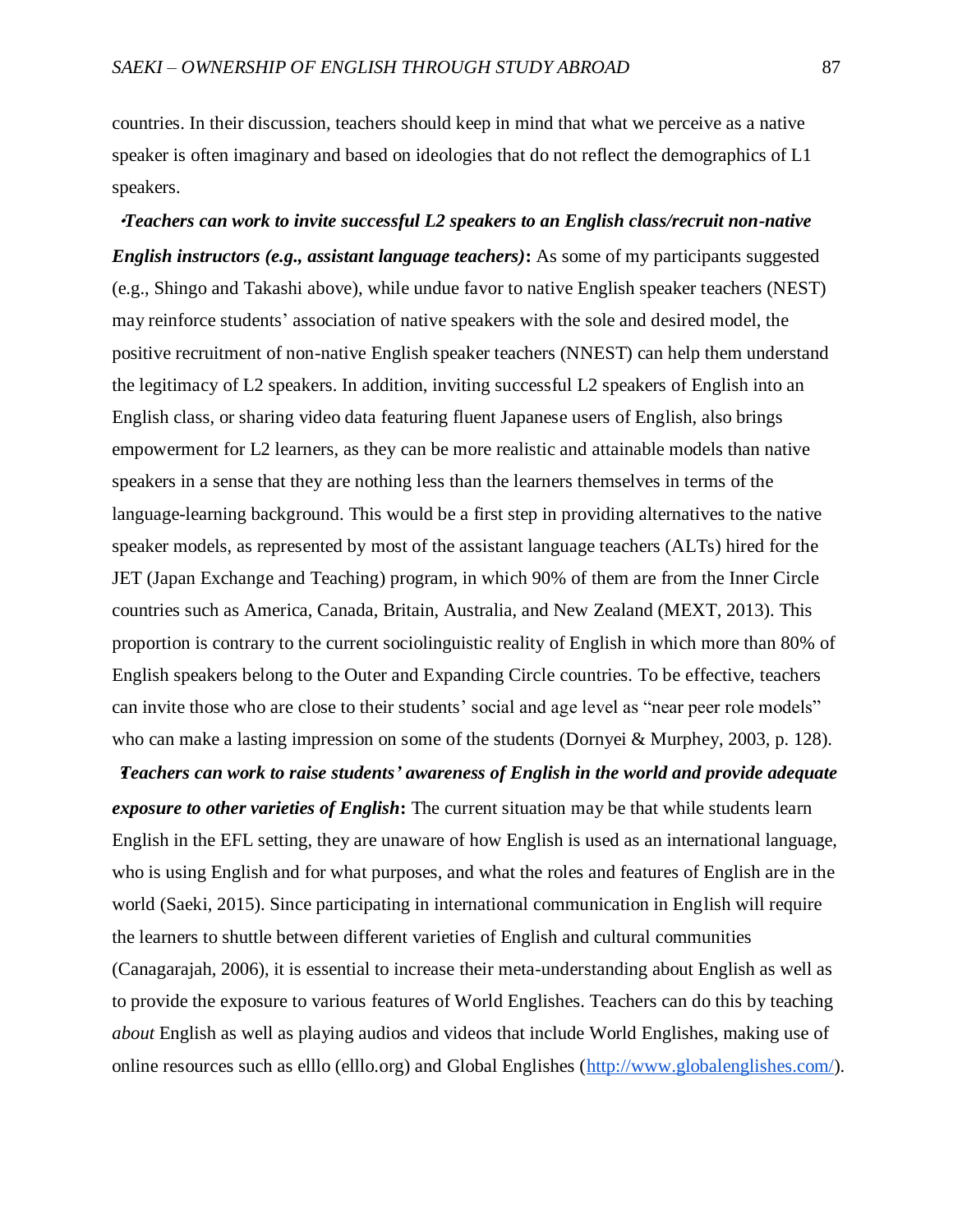countries. In their discussion, teachers should keep in mind that what we perceive as a native speaker is often imaginary and based on ideologies that do not reflect the demographics of L1 speakers.

・*Teachers can work to invite successful L2 speakers to an English class/recruit non-native English instructors (e.g., assistant language teachers)***:** As some of my participants suggested (e.g., Shingo and Takashi above), while undue favor to native English speaker teachers (NEST) may reinforce students' association of native speakers with the sole and desired model, the positive recruitment of non-native English speaker teachers (NNEST) can help them understand the legitimacy of L2 speakers. In addition, inviting successful L2 speakers of English into an English class, or sharing video data featuring fluent Japanese users of English, also brings empowerment for L2 learners, as they can be more realistic and attainable models than native speakers in a sense that they are nothing less than the learners themselves in terms of the language-learning background. This would be a first step in providing alternatives to the native speaker models, as represented by most of the assistant language teachers (ALTs) hired for the JET (Japan Exchange and Teaching) program, in which 90% of them are from the Inner Circle countries such as America, Canada, Britain, Australia, and New Zealand (MEXT, 2013). This proportion is contrary to the current sociolinguistic reality of English in which more than 80% of English speakers belong to the Outer and Expanding Circle countries. To be effective, teachers can invite those who are close to their students' social and age level as "near peer role models" who can make a lasting impression on some of the students (Dornyei & Murphey, 2003, p. 128).

・*Teachers can work to raise students' awareness of English in the world and provide adequate exposure to other varieties of English***:** The current situation may be that while students learn English in the EFL setting, they are unaware of how English is used as an international language, who is using English and for what purposes, and what the roles and features of English are in the world (Saeki, 2015). Since participating in international communication in English will require the learners to shuttle between different varieties of English and cultural communities (Canagarajah, 2006), it is essential to increase their meta-understanding about English as well as to provide the exposure to various features of World Englishes. Teachers can do this by teaching *about* English as well as playing audios and videos that include World Englishes, making use of online resources such as elllo (elllo.org) and Global Englishes [\(http://www.globalenglishes.com/\)](http://www.globalenglishes.com/).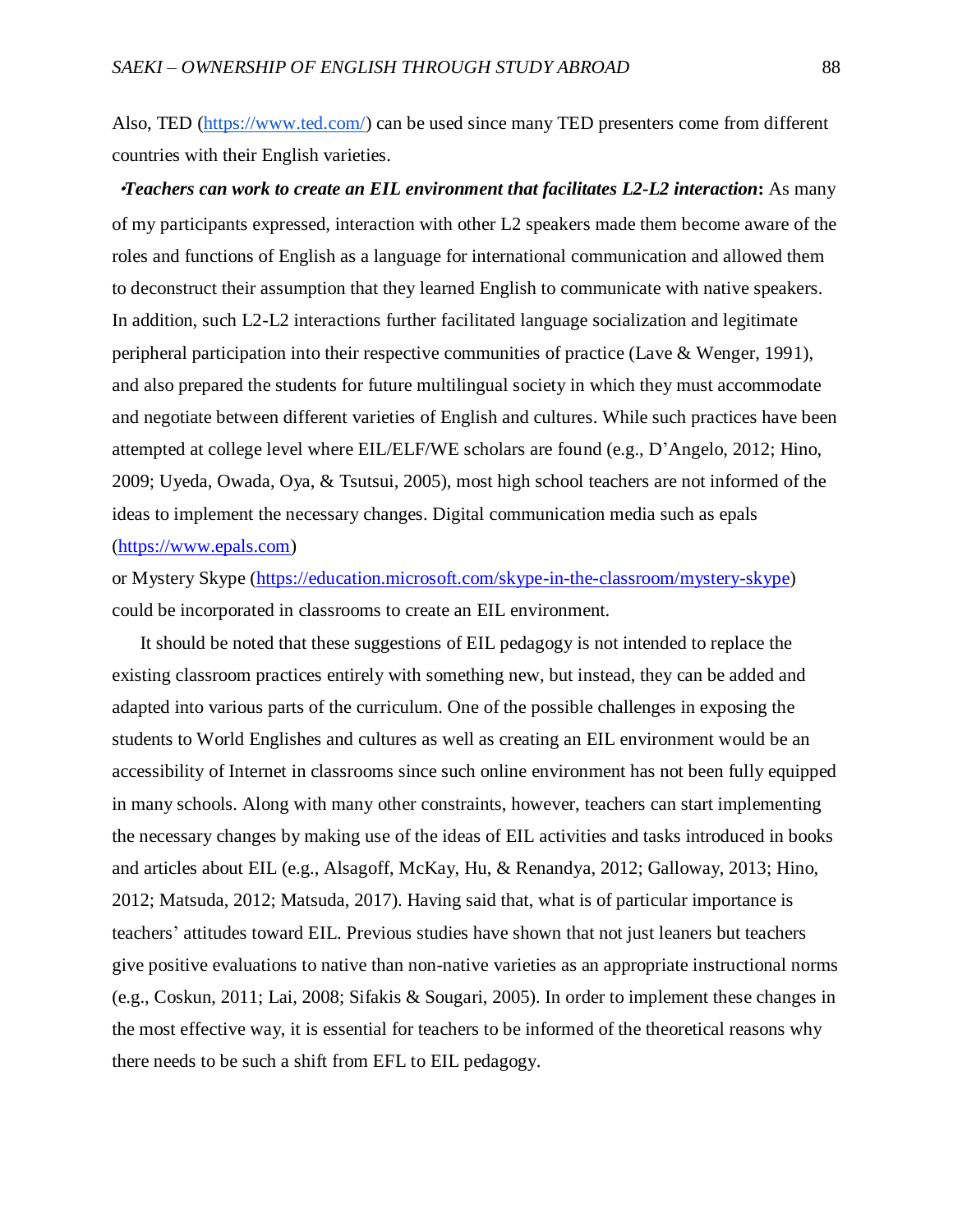Also, TED [\(https://www.ted.com/\)](https://www.ted.com/) can be used since many TED presenters come from different countries with their English varieties.

・*Teachers can work to create an EIL environment that facilitates L2-L2 interaction***:** As many of my participants expressed, interaction with other L2 speakers made them become aware of the roles and functions of English as a language for international communication and allowed them to deconstruct their assumption that they learned English to communicate with native speakers. In addition, such L2-L2 interactions further facilitated language socialization and legitimate peripheral participation into their respective communities of practice (Lave  $\&$  Wenger, 1991), and also prepared the students for future multilingual society in which they must accommodate and negotiate between different varieties of English and cultures. While such practices have been attempted at college level where EIL/ELF/WE scholars are found (e.g., D'Angelo, 2012; Hino, 2009; Uyeda, Owada, Oya, & Tsutsui, 2005), most high school teachers are not informed of the ideas to implement the necessary changes. Digital communication media such as epals [\(https://www.epals.com\)](https://www.epals.com/)

or Mystery Skype [\(https://education.microsoft.com/skype-in-the-classroom/mystery-skype\)](https://education.microsoft.com/skype-in-the-classroom/mystery-skype) could be incorporated in classrooms to create an EIL environment.

It should be noted that these suggestions of EIL pedagogy is not intended to replace the existing classroom practices entirely with something new, but instead, they can be added and adapted into various parts of the curriculum. One of the possible challenges in exposing the students to World Englishes and cultures as well as creating an EIL environment would be an accessibility of Internet in classrooms since such online environment has not been fully equipped in many schools. Along with many other constraints, however, teachers can start implementing the necessary changes by making use of the ideas of EIL activities and tasks introduced in books and articles about EIL (e.g., Alsagoff, McKay, Hu, & Renandya, 2012; Galloway, 2013; Hino, 2012; Matsuda, 2012; Matsuda, 2017). Having said that, what is of particular importance is teachers' attitudes toward EIL. Previous studies have shown that not just leaners but teachers give positive evaluations to native than non-native varieties as an appropriate instructional norms (e.g., Coskun, 2011; Lai, 2008; Sifakis & Sougari, 2005). In order to implement these changes in the most effective way, it is essential for teachers to be informed of the theoretical reasons why there needs to be such a shift from EFL to EIL pedagogy.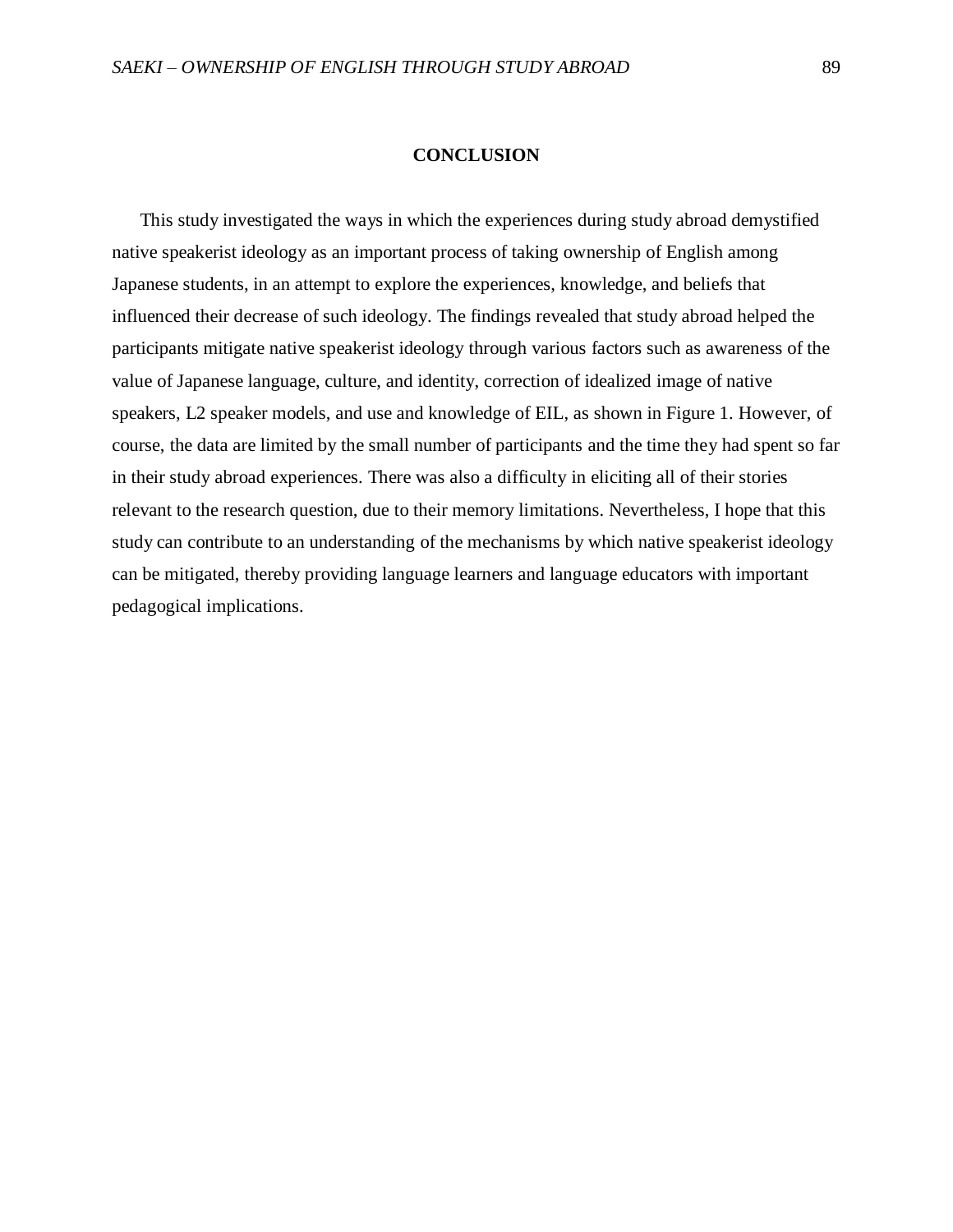## **CONCLUSION**

This study investigated the ways in which the experiences during study abroad demystified native speakerist ideology as an important process of taking ownership of English among Japanese students, in an attempt to explore the experiences, knowledge, and beliefs that influenced their decrease of such ideology. The findings revealed that study abroad helped the participants mitigate native speakerist ideology through various factors such as awareness of the value of Japanese language, culture, and identity, correction of idealized image of native speakers, L2 speaker models, and use and knowledge of EIL, as shown in Figure 1. However, of course, the data are limited by the small number of participants and the time they had spent so far in their study abroad experiences. There was also a difficulty in eliciting all of their stories relevant to the research question, due to their memory limitations. Nevertheless, I hope that this study can contribute to an understanding of the mechanisms by which native speakerist ideology can be mitigated, thereby providing language learners and language educators with important pedagogical implications.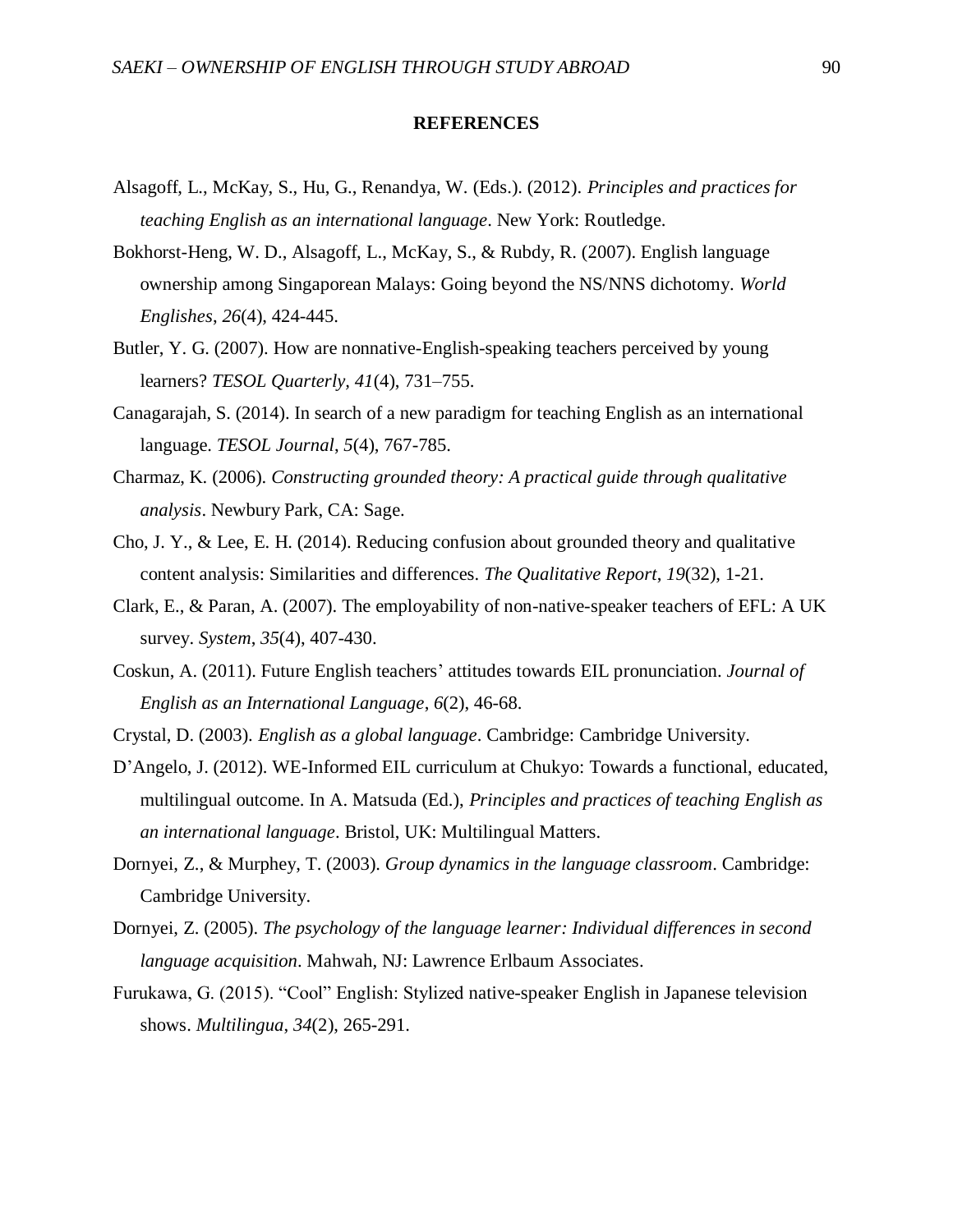## **REFERENCES**

- Alsagoff, L., McKay, S., Hu, G., Renandya, W. (Eds.). (2012). *Principles and practices for teaching English as an international language*. New York: Routledge.
- Bokhorst-Heng, W. D., Alsagoff, L., McKay, S., & Rubdy, R. (2007). English language ownership among Singaporean Malays: Going beyond the NS/NNS dichotomy. *World Englishes*, *26*(4), 424-445.
- Butler, Y. G. (2007). How are nonnative-English-speaking teachers perceived by young learners? *TESOL Quarterly, 41*(4), 731–755.
- Canagarajah, S. (2014). In search of a new paradigm for teaching English as an international language. *TESOL Journal*, *5*(4), 767-785.
- Charmaz, K. (2006). *Constructing grounded theory: A practical guide through qualitative analysis*. Newbury Park, CA: Sage.
- Cho, J. Y., & Lee, E. H. (2014). Reducing confusion about grounded theory and qualitative content analysis: Similarities and differences. *The Qualitative Report*, *19*(32), 1-21.
- Clark, E., & Paran, A. (2007). The employability of non-native-speaker teachers of EFL: A UK survey. *System*, *35*(4), 407-430.
- Coskun, A. (2011). Future English teachers' attitudes towards EIL pronunciation. *Journal of English as an International Language*, *6*(2), 46-68.
- Crystal, D. (2003). *English as a global language*. Cambridge: Cambridge University.
- D'Angelo, J. (2012). WE-Informed EIL curriculum at Chukyo: Towards a functional, educated, multilingual outcome. In A. Matsuda (Ed.), *Principles and practices of teaching English as an international language*. Bristol, UK: Multilingual Matters.
- Dornyei, Z., & Murphey, T. (2003). *Group dynamics in the language classroom*. Cambridge: Cambridge University.
- Dornyei, Z. (2005). *The psychology of the language learner: Individual differences in second language acquisition*. Mahwah, NJ: Lawrence Erlbaum Associates.
- Furukawa, G. (2015). "Cool" English: Stylized native-speaker English in Japanese television shows. *Multilingua*, *34*(2), 265-291.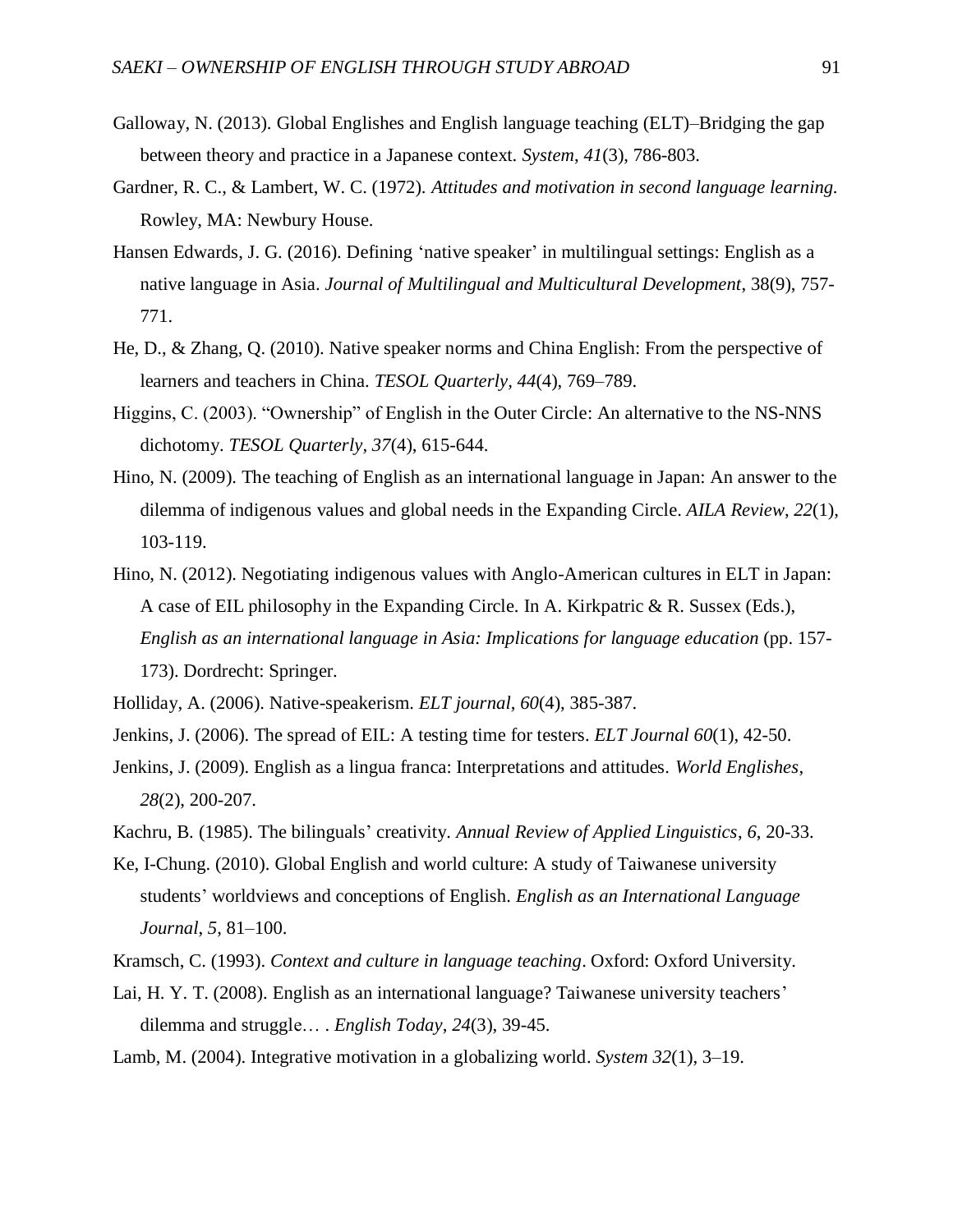- Galloway, N. (2013). Global Englishes and English language teaching (ELT)–Bridging the gap between theory and practice in a Japanese context. *System*, *41*(3), 786-803.
- Gardner, R. C., & Lambert, W. C. (1972). *Attitudes and motivation in second language learning.* Rowley, MA: Newbury House.
- Hansen Edwards, J. G. (2016). Defining 'native speaker' in multilingual settings: English as a native language in Asia. *Journal of Multilingual and Multicultural Development*, 38(9), 757- 771.
- He, D., & Zhang, Q. (2010). Native speaker norms and China English: From the perspective of learners and teachers in China. *TESOL Quarterly, 44*(4), 769–789.
- Higgins, C. (2003). "Ownership" of English in the Outer Circle: An alternative to the NS-NNS dichotomy. *TESOL Quarterly, 37*(4), 615-644.
- Hino, N. (2009). The teaching of English as an international language in Japan: An answer to the dilemma of indigenous values and global needs in the Expanding Circle. *AILA Review*, *22*(1), 103-119.
- Hino, N. (2012). Negotiating indigenous values with Anglo-American cultures in ELT in Japan: A case of EIL philosophy in the Expanding Circle. In A. Kirkpatric & R. Sussex (Eds.), *English as an international language in Asia: Implications for language education* (pp. 157- 173). Dordrecht: Springer.
- Holliday, A. (2006). Native-speakerism. *ELT journal*, *60*(4), 385-387.
- Jenkins, J. (2006). The spread of EIL: A testing time for testers. *ELT Journal 60*(1), 42-50.
- Jenkins, J. (2009). English as a lingua franca: Interpretations and attitudes. *World Englishes*, *28*(2), 200-207.
- Kachru, B. (1985). The bilinguals' creativity. *Annual Review of Applied Linguistics*, *6*, 20-33.
- Ke, I-Chung. (2010). Global English and world culture: A study of Taiwanese university students' worldviews and conceptions of English. *English as an International Language Journal*, *5*, 81–100.
- Kramsch, C. (1993). *Context and culture in language teaching*. Oxford: Oxford University.
- Lai, H. Y. T. (2008). English as an international language? Taiwanese university teachers' dilemma and struggle… . *English Today*, *24*(3), 39-45.
- Lamb, M. (2004). Integrative motivation in a globalizing world. *System 32*(1), 3–19.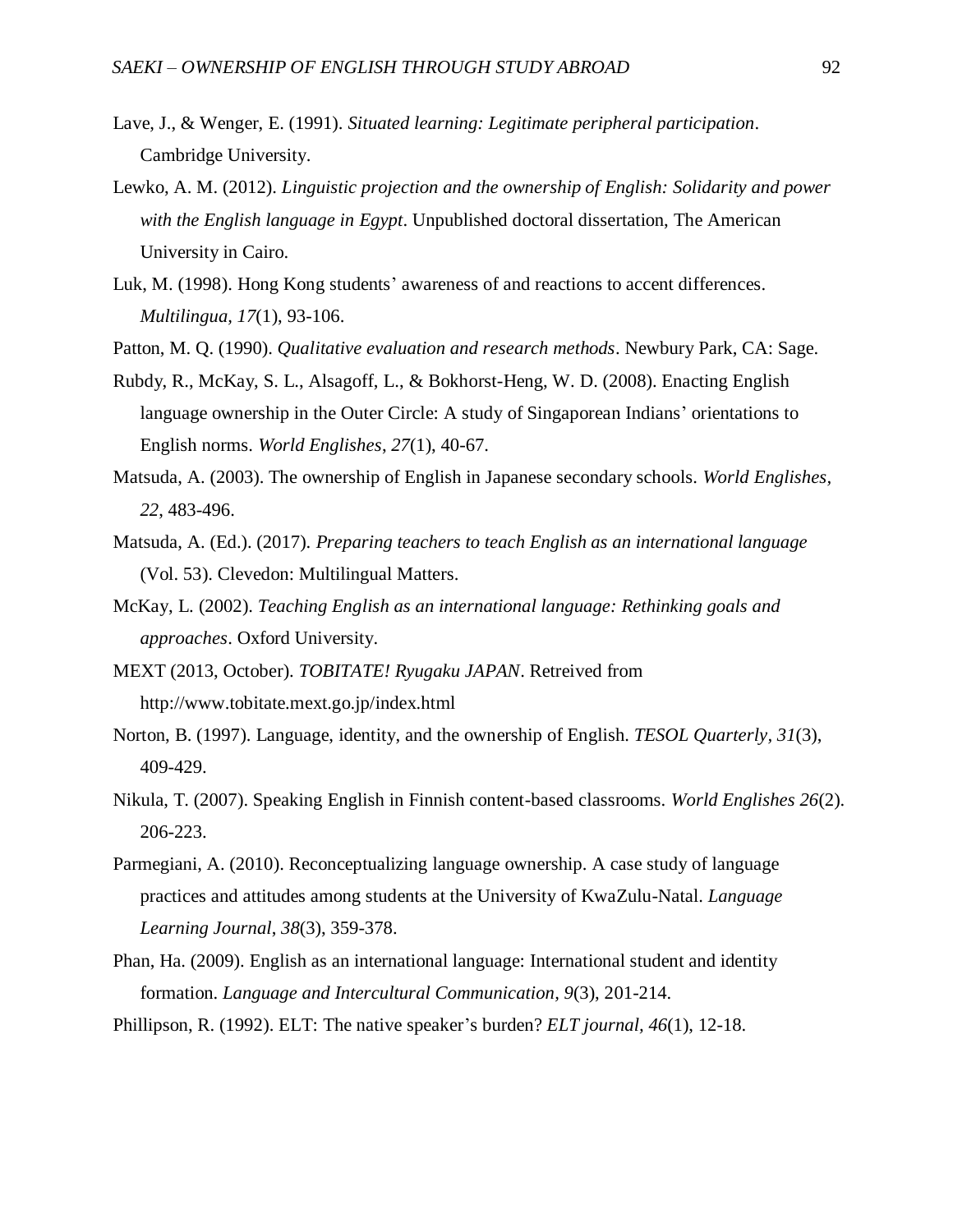- Lave, J., & Wenger, E. (1991). *Situated learning: Legitimate peripheral participation*. Cambridge University.
- Lewko, A. M. (2012). *Linguistic projection and the ownership of English: Solidarity and power with the English language in Egypt*. Unpublished doctoral dissertation, The American University in Cairo.
- Luk, M. (1998). Hong Kong students' awareness of and reactions to accent differences. *Multilingua, 17*(1), 93-106.
- Patton, M. Q. (1990). *Qualitative evaluation and research methods*. Newbury Park, CA: Sage.
- Rubdy, R., McKay, S. L., Alsagoff, L., & Bokhorst-Heng, W. D. (2008). Enacting English language ownership in the Outer Circle: A study of Singaporean Indians' orientations to English norms. *World Englishes*, *27*(1), 40-67.
- Matsuda, A. (2003). The ownership of English in Japanese secondary schools. *World Englishes, 22*, 483-496.
- Matsuda, A. (Ed.). (2017). *Preparing teachers to teach English as an international language* (Vol. 53). Clevedon: Multilingual Matters.
- McKay, L. (2002). *Teaching English as an international language: Rethinking goals and approaches*. Oxford University.
- MEXT (2013, October). *TOBITATE! Ryugaku JAPAN*. Retreived from http://www.tobitate.mext.go.jp/index.html
- Norton, B. (1997). Language, identity, and the ownership of English. *TESOL Quarterly, 31*(3), 409-429.
- Nikula, T. (2007). Speaking English in Finnish content-based classrooms. *World Englishes 26*(2). 206-223.
- Parmegiani, A. (2010). Reconceptualizing language ownership. A case study of language practices and attitudes among students at the University of KwaZulu-Natal. *Language Learning Journal*, *38*(3), 359-378.
- Phan, Ha. (2009). English as an international language: International student and identity formation. *Language and Intercultural Communication, 9*(3), 201-214.
- Phillipson, R. (1992). ELT: The native speaker's burden? *ELT journal, 46*(1), 12-18.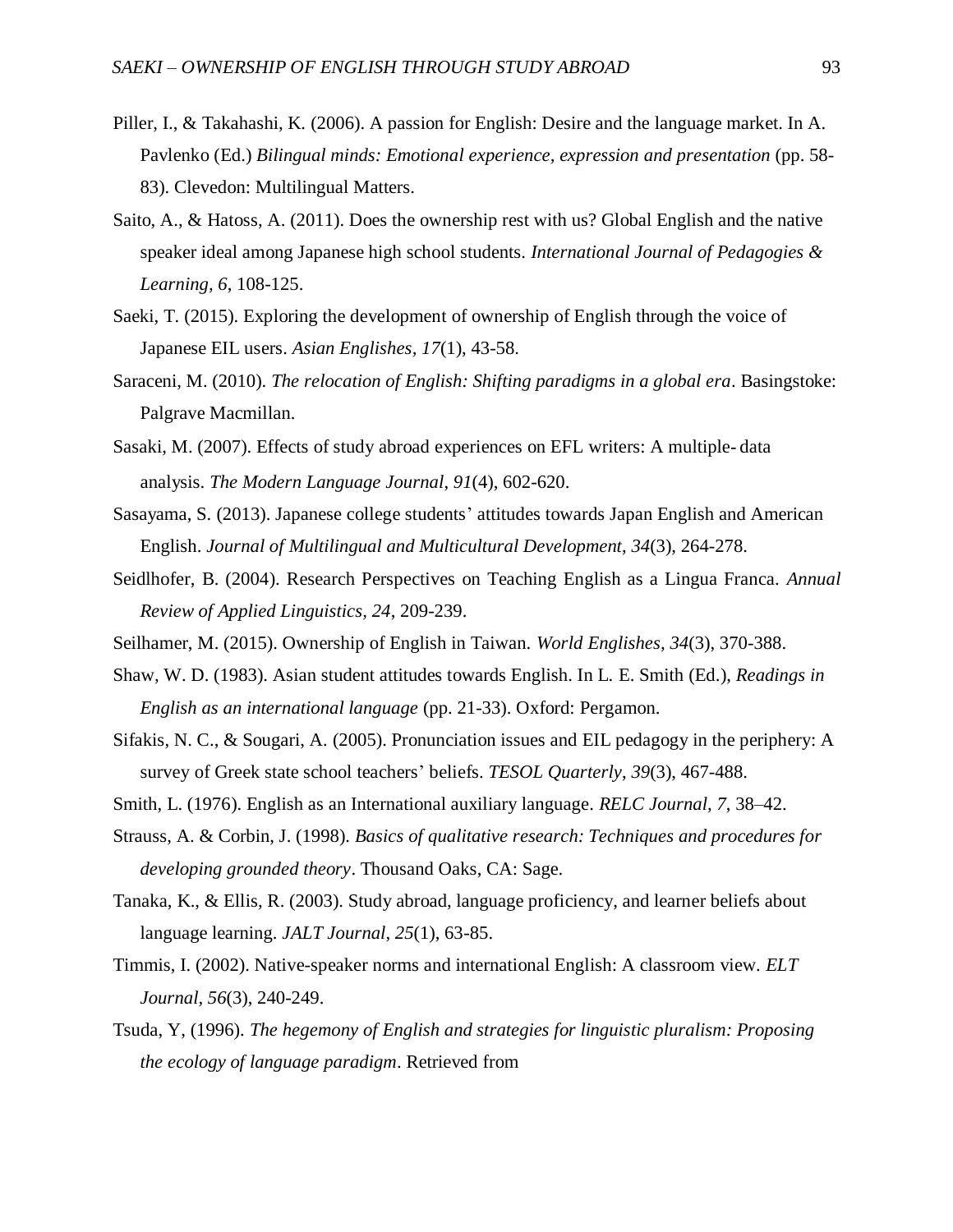- Piller, I., & Takahashi, K. (2006). A passion for English: Desire and the language market. In A. Pavlenko (Ed.) *Bilingual minds: Emotional experience, expression and presentation* (pp. 58- 83). Clevedon: Multilingual Matters.
- Saito, A., & Hatoss, A. (2011). Does the ownership rest with us? Global English and the native speaker ideal among Japanese high school students. *International Journal of Pedagogies & Learning, 6*, 108-125.
- Saeki, T. (2015). Exploring the development of ownership of English through the voice of Japanese EIL users. *Asian Englishes, 17*(1), 43-58.
- Saraceni, M. (2010). *The relocation of English: Shifting paradigms in a global era*. Basingstoke: Palgrave Macmillan.
- Sasaki, M. (2007). Effects of study abroad experiences on EFL writers: A multiple‐ data analysis. *The Modern Language Journal*, *91*(4), 602-620.
- Sasayama, S. (2013). Japanese college students' attitudes towards Japan English and American English. *Journal of Multilingual and Multicultural Development*, *34*(3), 264-278.
- Seidlhofer, B. (2004). Research Perspectives on Teaching English as a Lingua Franca. *Annual Review of Applied Linguistics, 24*, 209-239.
- Seilhamer, M. (2015). Ownership of English in Taiwan. *World Englishes, 34*(3), 370-388.
- Shaw, W. D. (1983). Asian student attitudes towards English. In L. E. Smith (Ed.), *Readings in English as an international language* (pp. 21-33). Oxford: Pergamon.
- Sifakis, N. C., & Sougari, A. (2005). Pronunciation issues and EIL pedagogy in the periphery: A survey of Greek state school teachers' beliefs. *TESOL Quarterly*, *39*(3), 467-488.
- Smith, L. (1976). English as an International auxiliary language. *RELC Journal, 7*, 38–42.
- Strauss, A. & Corbin, J. (1998). *Basics of qualitative research: Techniques and procedures for developing grounded theory*. Thousand Oaks, CA: Sage.
- Tanaka, K., & Ellis, R. (2003). Study abroad, language proficiency, and learner beliefs about language learning. *JALT Journal*, *25*(1), 63-85.
- Timmis, I. (2002). Native-speaker norms and international English: A classroom view. *ELT Journal, 56*(3), 240-249.
- Tsuda, Y, (1996). *The hegemony of English and strategies for linguistic pluralism: Proposing the ecology of language paradigm*. Retrieved from